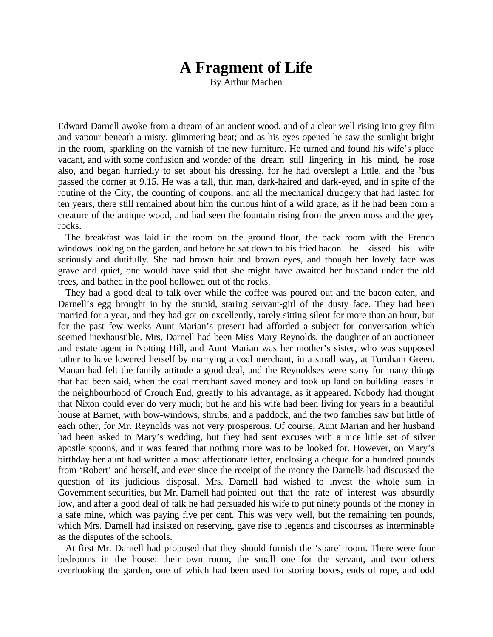# **A Fragment of Life**

By Arthur Machen

Edward Darnell awoke from a dream of an ancient wood, and of a clear well rising into grey film and vapour beneath a misty, glimmering beat; and as his eyes opened he saw the sunlight bright in the room, sparkling on the varnish of the new furniture. He turned and found his wife's place vacant, and with some confusion and wonder of the dream still lingering in his mind, he rose also, and began hurriedly to set about his dressing, for he had overslept a little, and the 'bus passed the corner at 9.15. He was a tall, thin man, dark-haired and dark-eyed, and in spite of the routine of the City, the counting of coupons, and all the mechanical drudgery that had lasted for ten years, there still remained about him the curious hint of a wild grace, as if he had been born a creature of the antique wood, and had seen the fountain rising from the green moss and the grey rocks.

The breakfast was laid in the room on the ground floor, the back room with the French windows looking on the garden, and before he sat down to his fried bacon he kissed his wife seriously and dutifully. She had brown hair and brown eyes, and though her lovely face was grave and quiet, one would have said that she might have awaited her husband under the old trees, and bathed in the pool hollowed out of the rocks.

They had a good deal to talk over while the coffee was poured out and the bacon eaten, and Darnell's egg brought in by the stupid, staring servant-girl of the dusty face. They had been married for a year, and they had got on excellently, rarely sitting silent for more than an hour, but for the past few weeks Aunt Marian's present had afforded a subject for conversation which seemed inexhaustible. Mrs. Darnell had been Miss Mary Reynolds, the daughter of an auctioneer and estate agent in Notting Hill, and Aunt Marian was her mother's sister, who was supposed rather to have lowered herself by marrying a coal merchant, in a small way, at Turnham Green. Manan had felt the family attitude a good deal, and the Reynoldses were sorry for many things that had been said, when the coal merchant saved money and took up land on building leases in the neighbourhood of Crouch End, greatly to his advantage, as it appeared. Nobody had thought that Nixon could ever do very much; but he and his wife had been living for years in a beautiful house at Barnet, with bow-windows, shrubs, and a paddock, and the two families saw but little of each other, for Mr. Reynolds was not very prosperous. Of course, Aunt Marian and her husband had been asked to Mary's wedding, but they had sent excuses with a nice little set of silver apostle spoons, and it was feared that nothing more was to be looked for. However, on Mary's birthday her aunt had written a most affectionate letter, enclosing a cheque for a hundred pounds from 'Robert' and herself, and ever since the receipt of the money the Darnells had discussed the question of its judicious disposal. Mrs. Darnell had wished to invest the whole sum in Government securities, but Mr. Darnell had pointed out that the rate of interest was absurdly low, and after a good deal of talk he had persuaded his wife to put ninety pounds of the money in a safe mine, which was paying five per cent. This was very well, but the remaining ten pounds, which Mrs. Darnell had insisted on reserving, gave rise to legends and discourses as interminable as the disputes of the schools.

At first Mr. Darnell had proposed that they should furnish the 'spare' room. There were four bedrooms in the house: their own room, the small one for the servant, and two others overlooking the garden, one of which had been used for storing boxes, ends of rope, and odd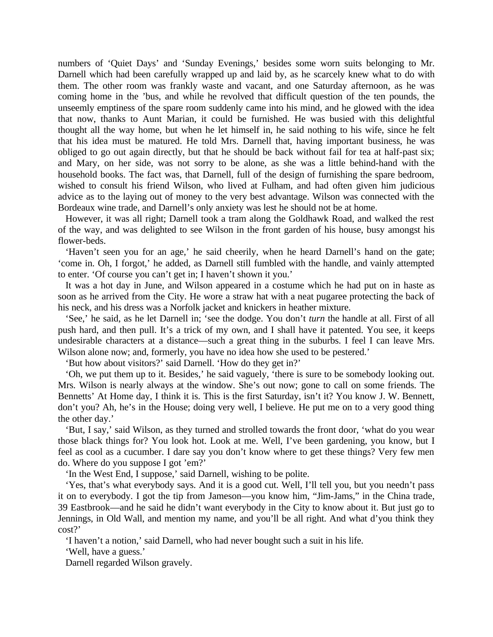numbers of 'Quiet Days' and 'Sunday Evenings,' besides some worn suits belonging to Mr. Darnell which had been carefully wrapped up and laid by, as he scarcely knew what to do with them. The other room was frankly waste and vacant, and one Saturday afternoon, as he was coming home in the 'bus, and while he revolved that difficult question of the ten pounds, the unseemly emptiness of the spare room suddenly came into his mind, and he glowed with the idea that now, thanks to Aunt Marian, it could be furnished. He was busied with this delightful thought all the way home, but when he let himself in, he said nothing to his wife, since he felt that his idea must be matured. He told Mrs. Darnell that, having important business, he was obliged to go out again directly, but that he should be back without fail for tea at half-past six; and Mary, on her side, was not sorry to be alone, as she was a little behind-hand with the household books. The fact was, that Darnell, full of the design of furnishing the spare bedroom, wished to consult his friend Wilson, who lived at Fulham, and had often given him judicious advice as to the laying out of money to the very best advantage. Wilson was connected with the Bordeaux wine trade, and Darnell's only anxiety was lest he should not be at home.

However, it was all right; Darnell took a tram along the Goldhawk Road, and walked the rest of the way, and was delighted to see Wilson in the front garden of his house, busy amongst his flower-beds.

'Haven't seen you for an age,' he said cheerily, when he heard Darnell's hand on the gate; 'come in. Oh, I forgot,' he added, as Darnell still fumbled with the handle, and vainly attempted to enter. 'Of course you can't get in; I haven't shown it you.'

It was a hot day in June, and Wilson appeared in a costume which he had put on in haste as soon as he arrived from the City. He wore a straw hat with a neat pugaree protecting the back of his neck, and his dress was a Norfolk jacket and knickers in heather mixture.

'See,' he said, as he let Darnell in; 'see the dodge. You don't *turn* the handle at all. First of all push hard, and then pull. It's a trick of my own, and I shall have it patented. You see, it keeps undesirable characters at a distance—such a great thing in the suburbs. I feel I can leave Mrs. Wilson alone now; and, formerly, you have no idea how she used to be pestered.'

'But how about visitors?' said Darnell. 'How do they get in?'

'Oh, we put them up to it. Besides,' he said vaguely, 'there is sure to be somebody looking out. Mrs. Wilson is nearly always at the window. She's out now; gone to call on some friends. The Bennetts' At Home day, I think it is. This is the first Saturday, isn't it? You know J. W. Bennett, don't you? Ah, he's in the House; doing very well, I believe. He put me on to a very good thing the other day.'

'But, I say,' said Wilson, as they turned and strolled towards the front door, 'what do you wear those black things for? You look hot. Look at me. Well, I've been gardening, you know, but I feel as cool as a cucumber. I dare say you don't know where to get these things? Very few men do. Where do you suppose I got 'em?'

'In the West End, I suppose,' said Darnell, wishing to be polite.

'Yes, that's what everybody says. And it is a good cut. Well, I'll tell you, but you needn't pass it on to everybody. I got the tip from Jameson—you know him, "Jim-Jams," in the China trade, 39 Eastbrook—and he said he didn't want everybody in the City to know about it. But just go to Jennings, in Old Wall, and mention my name, and you'll be all right. And what d'you think they cost?'

'I haven't a notion,' said Darnell, who had never bought such a suit in his life.

'Well, have a guess.'

Darnell regarded Wilson gravely.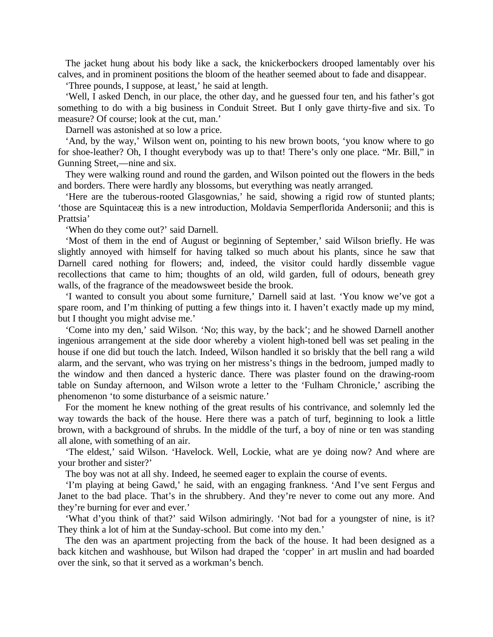The jacket hung about his body like a sack, the knickerbockers drooped lamentably over his calves, and in prominent positions the bloom of the heather seemed about to fade and disappear.

'Three pounds, I suppose, at least,' he said at length.

'Well, I asked Dench, in our place, the other day, and he guessed four ten, and his father's got something to do with a big business in Conduit Street. But I only gave thirty-five and six. To measure? Of course; look at the cut, man.'

Darnell was astonished at so low a price.

'And, by the way,' Wilson went on, pointing to his new brown boots, 'you know where to go for shoe-leather? Oh, I thought everybody was up to that! There's only one place. "Mr. Bill," in Gunning Street,—nine and six.

They were walking round and round the garden, and Wilson pointed out the flowers in the beds and borders. There were hardly any blossoms, but everything was neatly arranged.

'Here are the tuberous-rooted Glasgownias,' he said, showing a rigid row of stunted plants; 'those are Squintaceæ; this is a new introduction, Moldavia Semperflorida Andersonii; and this is Prattsia'

'When do they come out?' said Darnell.

'Most of them in the end of August or beginning of September,' said Wilson briefly. He was slightly annoyed with himself for having talked so much about his plants, since he saw that Darnell cared nothing for flowers; and, indeed, the visitor could hardly dissemble vague recollections that came to him; thoughts of an old, wild garden, full of odours, beneath grey walls, of the fragrance of the meadowsweet beside the brook.

'I wanted to consult you about some furniture,' Darnell said at last. 'You know we've got a spare room, and I'm thinking of putting a few things into it. I haven't exactly made up my mind, but I thought you might advise me.'

'Come into my den,' said Wilson. 'No; this way, by the back'; and he showed Darnell another ingenious arrangement at the side door whereby a violent high-toned bell was set pealing in the house if one did but touch the latch. Indeed, Wilson handled it so briskly that the bell rang a wild alarm, and the servant, who was trying on her mistress's things in the bedroom, jumped madly to the window and then danced a hysteric dance. There was plaster found on the drawing-room table on Sunday afternoon, and Wilson wrote a letter to the 'Fulham Chronicle,' ascribing the phenomenon 'to some disturbance of a seismic nature.'

For the moment he knew nothing of the great results of his contrivance, and solemnly led the way towards the back of the house. Here there was a patch of turf, beginning to look a little brown, with a background of shrubs. In the middle of the turf, a boy of nine or ten was standing all alone, with something of an air.

'The eldest,' said Wilson. 'Havelock. Well, Lockie, what are ye doing now? And where are your brother and sister?'

The boy was not at all shy. Indeed, he seemed eager to explain the course of events.

'I'm playing at being Gawd,' he said, with an engaging frankness. 'And I've sent Fergus and Janet to the bad place. That's in the shrubbery. And they're never to come out any more. And they're burning for ever and ever.'

'What d'you think of that?' said Wilson admiringly. 'Not bad for a youngster of nine, is it? They think a lot of him at the Sunday-school. But come into my den.'

The den was an apartment projecting from the back of the house. It had been designed as a back kitchen and washhouse, but Wilson had draped the 'copper' in art muslin and had boarded over the sink, so that it served as a workman's bench.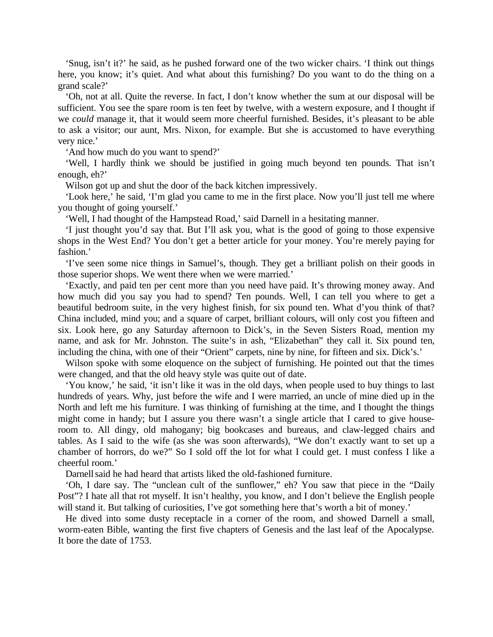'Snug, isn't it?' he said, as he pushed forward one of the two wicker chairs. 'I think out things here, you know; it's quiet. And what about this furnishing? Do you want to do the thing on a grand scale?'

'Oh, not at all. Quite the reverse. In fact, I don't know whether the sum at our disposal will be sufficient. You see the spare room is ten feet by twelve, with a western exposure, and I thought if we *could* manage it, that it would seem more cheerful furnished. Besides, it's pleasant to be able to ask a visitor; our aunt, Mrs. Nixon, for example. But she is accustomed to have everything very nice.'

'And how much do you want to spend?'

'Well, I hardly think we should be justified in going much beyond ten pounds. That isn't enough, eh?'

Wilson got up and shut the door of the back kitchen impressively.

'Look here,' he said, 'I'm glad you came to me in the first place. Now you'll just tell me where you thought of going yourself.'

'Well, I had thought of the Hampstead Road,' said Darnell in a hesitating manner.

'I just thought you'd say that. But I'll ask you, what is the good of going to those expensive shops in the West End? You don't get a better article for your money. You're merely paying for fashion.'

'I've seen some nice things in Samuel's, though. They get a brilliant polish on their goods in those superior shops. We went there when we were married.'

'Exactly, and paid ten per cent more than you need have paid. It's throwing money away. And how much did you say you had to spend? Ten pounds. Well, I can tell you where to get a beautiful bedroom suite, in the very highest finish, for six pound ten. What d'you think of that? China included, mind you; and a square of carpet, brilliant colours, will only cost you fifteen and six. Look here, go any Saturday afternoon to Dick's, in the Seven Sisters Road, mention my name, and ask for Mr. Johnston. The suite's in ash, "Elizabethan" they call it. Six pound ten, including the china, with one of their "Orient" carpets, nine by nine, for fifteen and six. Dick's.'

Wilson spoke with some eloquence on the subject of furnishing. He pointed out that the times were changed, and that the old heavy style was quite out of date.

'You know,' he said, 'it isn't like it was in the old days, when people used to buy things to last hundreds of years. Why, just before the wife and I were married, an uncle of mine died up in the North and left me his furniture. I was thinking of furnishing at the time, and I thought the things might come in handy; but I assure you there wasn't a single article that I cared to give houseroom to. All dingy, old mahogany; big bookcases and bureaus, and claw-legged chairs and tables. As I said to the wife (as she was soon afterwards), "We don't exactly want to set up a chamber of horrors, do we?" So I sold off the lot for what I could get. I must confess I like a cheerful room.'

Darnell said he had heard that artists liked the old-fashioned furniture.

'Oh, I dare say. The "unclean cult of the sunflower," eh? You saw that piece in the "Daily Post"? I hate all that rot myself. It isn't healthy, you know, and I don't believe the English people will stand it. But talking of curiosities, I've got something here that's worth a bit of money.<sup>7</sup>

He dived into some dusty receptacle in a corner of the room, and showed Darnell a small, worm-eaten Bible, wanting the first five chapters of Genesis and the last leaf of the Apocalypse. It bore the date of 1753.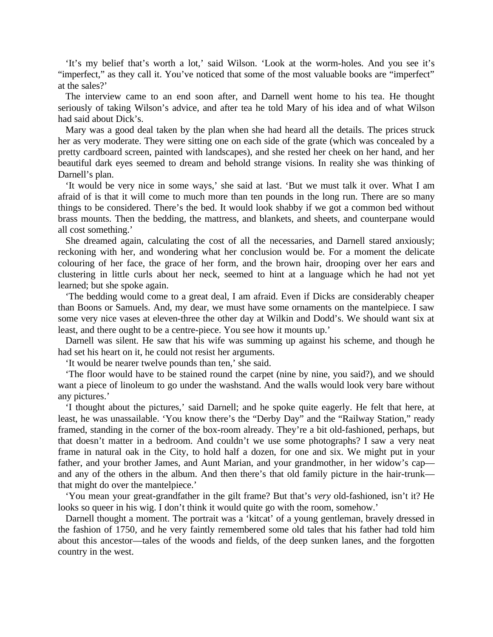'It's my belief that's worth a lot,' said Wilson. 'Look at the worm-holes. And you see it's "imperfect," as they call it. You've noticed that some of the most valuable books are "imperfect" at the sales?'

The interview came to an end soon after, and Darnell went home to his tea. He thought seriously of taking Wilson's advice, and after tea he told Mary of his idea and of what Wilson had said about Dick's.

Mary was a good deal taken by the plan when she had heard all the details. The prices struck her as very moderate. They were sitting one on each side of the grate (which was concealed by a pretty cardboard screen, painted with landscapes), and she rested her cheek on her hand, and her beautiful dark eyes seemed to dream and behold strange visions. In reality she was thinking of Darnell's plan.

'It would be very nice in some ways,' she said at last. 'But we must talk it over. What I am afraid of is that it will come to much more than ten pounds in the long run. There are so many things to be considered. There's the bed. It would look shabby if we got a common bed without brass mounts. Then the bedding, the mattress, and blankets, and sheets, and counterpane would all cost something.'

She dreamed again, calculating the cost of all the necessaries, and Darnell stared anxiously; reckoning with her, and wondering what her conclusion would be. For a moment the delicate colouring of her face, the grace of her form, and the brown hair, drooping over her ears and clustering in little curls about her neck, seemed to hint at a language which he had not yet learned; but she spoke again.

'The bedding would come to a great deal, I am afraid. Even if Dicks are considerably cheaper than Boons or Samuels. And, my dear, we must have some ornaments on the mantelpiece. I saw some very nice vases at eleven-three the other day at Wilkin and Dodd's. We should want six at least, and there ought to be a centre-piece. You see how it mounts up.'

Darnell was silent. He saw that his wife was summing up against his scheme, and though he had set his heart on it, he could not resist her arguments.

'It would be nearer twelve pounds than ten,' she said.

'The floor would have to be stained round the carpet (nine by nine, you said?), and we should want a piece of linoleum to go under the washstand. And the walls would look very bare without any pictures.'

'I thought about the pictures,' said Darnell; and he spoke quite eagerly. He felt that here, at least, he was unassailable. 'You know there's the "Derby Day" and the "Railway Station," ready framed, standing in the corner of the box-room already. They're a bit old-fashioned, perhaps, but that doesn't matter in a bedroom. And couldn't we use some photographs? I saw a very neat frame in natural oak in the City, to hold half a dozen, for one and six. We might put in your father, and your brother James, and Aunt Marian, and your grandmother, in her widow's cap and any of the others in the album. And then there's that old family picture in the hair-trunk that might do over the mantelpiece.'

'You mean your great-grandfather in the gilt frame? But that's *very* old-fashioned, isn't it? He looks so queer in his wig. I don't think it would quite go with the room, somehow.'

Darnell thought a moment. The portrait was a 'kitcat' of a young gentleman, bravely dressed in the fashion of 1750*,* and he very faintly remembered some old tales that his father had told him about this ancestor—tales of the woods and fields, of the deep sunken lanes, and the forgotten country in the west.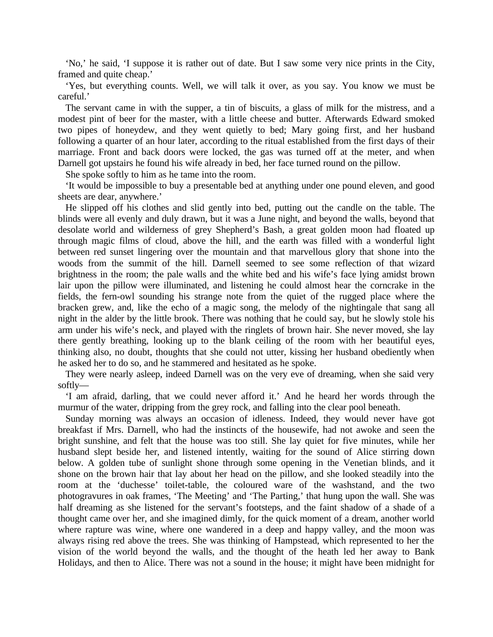'No,' he said, 'I suppose it is rather out of date. But I saw some very nice prints in the City, framed and quite cheap.'

'Yes, but everything counts. Well, we will talk it over, as you say. You know we must be careful.'

The servant came in with the supper, a tin of biscuits*,* a glass of milk for the mistress, and a modest pint of beer for the master, with a little cheese and butter. Afterwards Edward smoked two pipes of honeydew, and they went quietly to bed; Mary going first, and her husband following a quarter of an hour later, according to the ritual established from the first days of their marriage. Front and back doors were locked, the gas was turned off at the meter, and when Darnell got upstairs he found his wife already in bed, her face turned round on the pillow.

She spoke softly to him as he tame into the room.

'It would be impossible to buy a presentable bed at anything under one pound eleven, and good sheets are dear, anywhere.'

He slipped off his clothes and slid gently into bed, putting out the candle on the table. The blinds were all evenly and duly drawn, but it was a June night, and beyond the walls, beyond that desolate world and wilderness of grey Shepherd's Bash, a great golden moon had floated up through magic films of cloud, above the hill, and the earth was filled with a wonderful light between red sunset lingering over the mountain and that marvellous glory that shone into the woods from the summit of the hill. Darnell seemed to see some reflection of that wizard brightness in the room; the pale walls and the white bed and his wife's face lying amidst brown lair upon the pillow were illuminated, and listening he could almost hear the corncrake in the fields, the fern-owl sounding his strange note from the quiet of the rugged place where the bracken grew, and, like the echo of a magic song, the melody of the nightingale that sang all night in the alder by the little brook. There was nothing that he could say, but he slowly stole his arm under his wife's neck, and played with the ringlets of brown hair. She never moved, she lay there gently breathing, looking up to the blank ceiling of the room with her beautiful eyes, thinking also, no doubt, thoughts that she could not utter, kissing her husband obediently when he asked her to do so, and he stammered and hesitated as he spoke.

They were nearly asleep, indeed Darnell was on the very eve of dreaming, when she said very softly—

'I am afraid, darling, that we could never afford it.' And he heard her words through the murmur of the water, dripping from the grey rock, and falling into the clear pool beneath.

Sunday morning was always an occasion of idleness. Indeed, they would never have got breakfast if Mrs. Darnell, who had the instincts of the housewife, had not awoke and seen the bright sunshine, and felt that the house was too still. She lay quiet for five minutes, while her husband slept beside her, and listened intently, waiting for the sound of Alice stirring down below. A golden tube of sunlight shone through some opening in the Venetian blinds, and it shone on the brown hair that lay about her head on the pillow, and she looked steadily into the room at the 'duchesse' toilet-table, the coloured ware of the washstand, and the two photogravures in oak frames, 'The Meeting' and 'The Parting,' that hung upon the wall. She was half dreaming as she listened for the servant's footsteps, and the faint shadow of a shade of a thought came over her, and she imagined dimly, for the quick moment of a dream, another world where rapture was wine, where one wandered in a deep and happy valley, and the moon was always rising red above the trees. She was thinking of Hampstead, which represented to her the vision of the world beyond the walls, and the thought of the heath led her away to Bank Holidays, and then to Alice. There was not a sound in the house; it might have been midnight for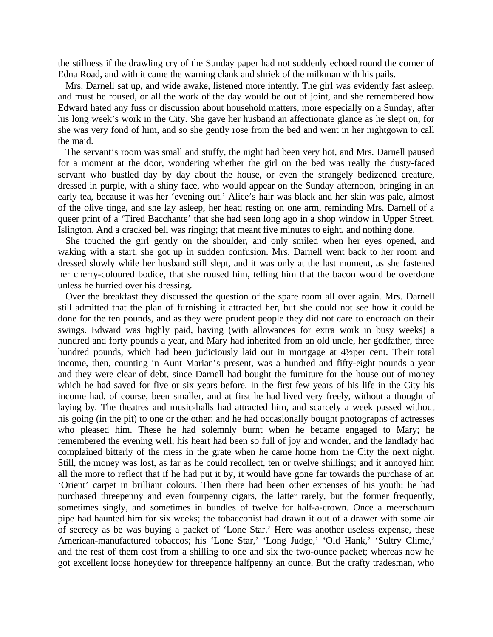the stillness if the drawling cry of the Sunday paper had not suddenly echoed round the corner of Edna Road, and with it came the warning clank and shriek of the milkman with his pails.

Mrs. Darnell sat up, and wide awake, listened more intently. The girl was evidently fast asleep, and must be roused, or all the work of the day would be out of joint, and she remembered how Edward hated any fuss or discussion about household matters, more especially on a Sunday, after his long week's work in the City. She gave her husband an affectionate glance as he slept on, for she was very fond of him, and so she gently rose from the bed and went in her nightgown to call the maid.

The servant's room was small and stuffy, the night had been very hot, and Mrs. Darnell paused for a moment at the door, wondering whether the girl on the bed was really the dusty-faced servant who bustled day by day about the house, or even the strangely bedizened creature, dressed in purple, with a shiny face, who would appear on the Sunday afternoon, bringing in an early tea, because it was her 'evening out.' Alice's hair was black and her skin was pale, almost of the olive tinge, and she lay asleep, her head resting on one arm, reminding Mrs. Darnell of a queer print of a 'Tired Bacchante' that she had seen long ago in a shop window in Upper Street, Islington. And a cracked bell was ringing; that meant five minutes to eight, and nothing done.

She touched the girl gently on the shoulder, and only smiled when her eyes opened, and waking with a start, she got up in sudden confusion. Mrs. Darnell went back to her room and dressed slowly while her husband still slept, and it was only at the last moment, as she fastened her cherry-coloured bodice, that she roused him, telling him that the bacon would be overdone unless he hurried over his dressing.

Over the breakfast they discussed the question of the spare room all over again. Mrs. Darnell still admitted that the plan of furnishing it attracted her, but she could not see how it could be done for the ten pounds, and as they were prudent people they did not care to encroach on their swings. Edward was highly paid, having (with allowances for extra work in busy weeks) a hundred and forty pounds a year, and Mary had inherited from an old uncle, her godfather, three hundred pounds, which had been judiciously laid out in mortgage at 4½ per cent. Their total income, then, counting in Aunt Marian's present, was a hundred and fifty-eight pounds a year and they were clear of debt, since Darnell had bought the furniture for the house out of money which he had saved for five or six years before. In the first few years of his life in the City his income had, of course, been smaller, and at first he had lived very freely, without a thought of laying by. The theatres and music-halls had attracted him, and scarcely a week passed without his going (in the pit) to one or the other; and he had occasionally bought photographs of actresses who pleased him. These he had solemnly burnt when he became engaged to Mary; he remembered the evening well; his heart had been so full of joy and wonder, and the landlady had complained bitterly of the mess in the grate when he came home from the City the next night. Still, the money was lost, as far as he could recollect, ten or twelve shillings; and it annoyed him all the more to reflect that if he had put it by, it would have gone far towards the purchase of an 'Orient' carpet in brilliant colours. Then there had been other expenses of his youth: he had purchased threepenny and even fourpenny cigars, the latter rarely, but the former frequently, sometimes singly, and sometimes in bundles of twelve for half-a-crown. Once a meerschaum pipe had haunted him for six weeks; the tobacconist had drawn it out of a drawer with some air of secrecy as be was buying a packet of 'Lone Star.' Here was another useless expense, these American-manufactured tobaccos; his 'Lone Star,' 'Long Judge,' 'Old Hank,' 'Sultry Clime,' and the rest of them cost from a shilling to one and six the two-ounce packet; whereas now he got excellent loose honeydew for threepence halfpenny an ounce. But the crafty tradesman, who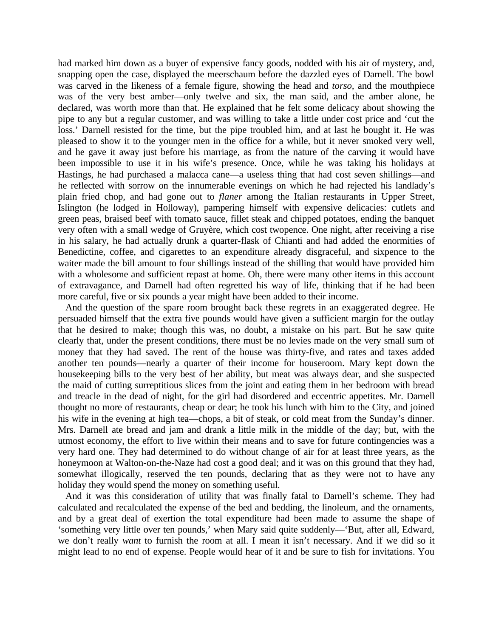had marked him down as a buyer of expensive fancy goods, nodded with his air of mystery, and, snapping open the case, displayed the meerschaum before the dazzled eyes of Darnell. The bowl was carved in the likeness of a female figure, showing the head and *torso,* and the mouthpiece was of the very best amber—only twelve and six, the man said, and the amber alone, he declared, was worth more than that. He explained that he felt some delicacy about showing the pipe to any but a regular customer, and was willing to take a little under cost price and 'cut the loss.' Darnell resisted for the time, but the pipe troubled him, and at last he bought it. He was pleased to show it to the younger men in the office for a while, but it never smoked very well, and he gave it away just before his marriage, as from the nature of the carving it would have been impossible to use it in his wife's presence. Once, while he was taking his holidays at Hastings, he had purchased a malacca cane—a useless thing that had cost seven shillings—and he reflected with sorrow on the innumerable evenings on which he had rejected his landlady's plain fried chop, and had gone out to *flaner* among the Italian restaurants in Upper Street, Islington (he lodged in Holloway), pampering himself with expensive delicacies: cutlets and green peas, braised beef with tomato sauce, fillet steak and chipped potatoes, ending the banquet very often with a small wedge of Gruyère, which cost twopence. One night, after receiving a rise in his salary, he had actually drunk a quarter-flask of Chianti and had added the enormities of Benedictine, coffee, and cigarettes to an expenditure already disgraceful, and sixpence to the waiter made the bill amount to four shillings instead of the shilling that would have provided him with a wholesome and sufficient repast at home. Oh, there were many other items in this account of extravagance, and Darnell had often regretted his way of life, thinking that if he had been more careful, five or six pounds a year might have been added to their income.

And the question of the spare room brought back these regrets in an exaggerated degree. He persuaded himself that the extra five pounds would have given a sufficient margin for the outlay that he desired to make; though this was, no doubt, a mistake on his part. But he saw quite clearly that, under the present conditions, there must be no levies made on the very small sum of money that they had saved. The rent of the house was thirty-five, and rates and taxes added another ten pounds—nearly a quarter of their income for houseroom. Mary kept down the housekeeping bills to the very best of her ability, but meat was always dear, and she suspected the maid of cutting surreptitious slices from the joint and eating them in her bedroom with bread and treacle in the dead of night, for the girl had disordered and eccentric appetites. Mr. Darnell thought no more of restaurants, cheap or dear; he took his lunch with him to the City, and joined his wife in the evening at high tea—chops, a bit of steak, or cold meat from the Sunday's dinner. Mrs. Darnell ate bread and jam and drank a little milk in the middle of the day; but, with the utmost economy, the effort to live within their means and to save for future contingencies was a very hard one. They had determined to do without change of air for at least three years, as the honeymoon at Walton-on-the-Naze had cost a good deal; and it was on this ground that they had, somewhat illogically, reserved the ten pounds, declaring that as they were not to have any holiday they would spend the money on something useful.

And it was this consideration of utility that was finally fatal to Darnell's scheme. They had calculated and recalculated the expense of the bed and bedding, the linoleum, and the ornaments, and by a great deal of exertion the total expenditure had been made to assume the shape of 'something very little over ten pounds,' when Mary said quite suddenly—'But, after all, Edward, we don't really *want* to furnish the room at all. I mean it isn't necessary. And if we did so it might lead to no end of expense. People would hear of it and be sure to fish for invitations. You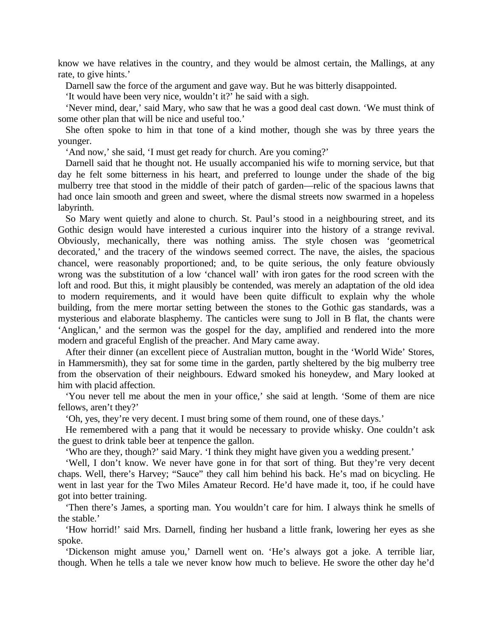know we have relatives in the country, and they would be almost certain, the Mallings, at any rate, to give hints.'

Darnell saw the force of the argument and gave way. But he was bitterly disappointed.

'It would have been very nice, wouldn't it?' he said with a sigh.

'Never mind, dear,' said Mary, who saw that he was a good deal cast down. 'We must think of some other plan that will be nice and useful too.'

She often spoke to him in that tone of a kind mother, though she was by three years the younger.

'And now,' she said, 'I must get ready for church. Are you coming?'

Darnell said that he thought not. He usually accompanied his wife to morning service, but that day he felt some bitterness in his heart, and preferred to lounge under the shade of the big mulberry tree that stood in the middle of their patch of garden—relic of the spacious lawns that had once lain smooth and green and sweet, where the dismal streets now swarmed in a hopeless labyrinth.

So Mary went quietly and alone to church. St. Paul's stood in a neighbouring street, and its Gothic design would have interested a curious inquirer into the history of a strange revival. Obviously, mechanically, there was nothing amiss. The style chosen was 'geometrical decorated,' and the tracery of the windows seemed correct. The nave, the aisles, the spacious chancel, were reasonably proportioned; and, to be quite serious, the only feature obviously wrong was the substitution of a low 'chancel wall' with iron gates for the rood screen with the loft and rood. But this, it might plausibly be contended, was merely an adaptation of the old idea to modern requirements, and it would have been quite difficult to explain why the whole building, from the mere mortar setting between the stones to the Gothic gas standards, was a mysterious and elaborate blasphemy. The canticles were sung to Joll in B flat, the chants were 'Anglican,' and the sermon was the gospel for the day, amplified and rendered into the more modern and graceful English of the preacher. And Mary came away.

After their dinner (an excellent piece of Australian mutton, bought in the 'World Wide' Stores, in Hammersmith), they sat for some time in the garden, partly sheltered by the big mulberry tree from the observation of their neighbours. Edward smoked his honeydew, and Mary looked at him with placid affection.

'You never tell me about the men in your office,' she said at length. 'Some of them are nice fellows, aren't they?'

'Oh, yes, they're very decent. I must bring some of them round, one of these days.'

He remembered with a pang that it would be necessary to provide whisky. One couldn't ask the guest to drink table beer at tenpence the gallon.

'Who are they, though?' said Mary. 'I think they might have given you a wedding present.'

'Well, I don't know. We never have gone in for that sort of thing. But they're very decent chaps. Well, there's Harvey; "Sauce" they call him behind his back. He's mad on bicycling. He went in last year for the Two Miles Amateur Record. He'd have made it, too, if he could have got into better training.

'Then there's James, a sporting man. You wouldn't care for him. I always think he smells of the stable.'

'How horrid!' said Mrs. Darnell, finding her husband a little frank, lowering her eyes as she spoke.

'Dickenson might amuse you,' Darnell went on. 'He's always got a joke. A terrible liar, though. When he tells a tale we never know how much to believe. He swore the other day he'd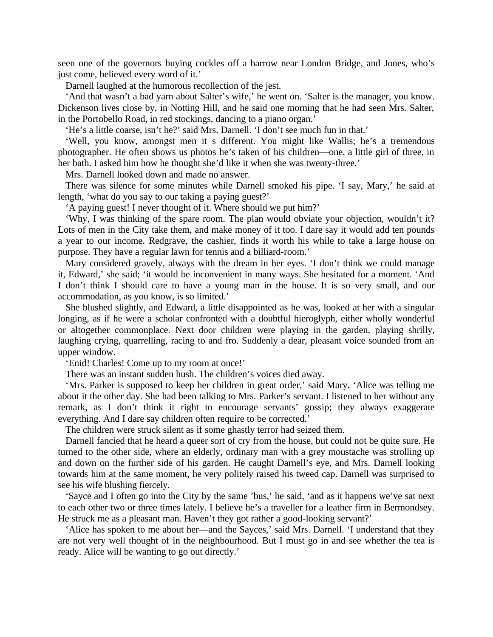seen one of the governors buying cockles off a barrow near London Bridge, and Jones, who's just come, believed every word of it.'

Darnell laughed at the humorous recollection of the jest.

'And that wasn't a bad yarn about Salter's wife,' he went on. 'Salter is the manager, you know. Dickenson lives close by, in Notting Hill, and he said one morning that he had seen Mrs. Salter, in the Portobello Road, in red stockings, dancing to a piano organ.'

'He's a little coarse, isn't he?' said Mrs. Darnell. 'I don't see much fun in that.'

'Well, you know, amongst men it s different. You might like Wallis; he's a tremendous photographer. He often shows us photos he's taken of his children—one, a little girl of three, in her bath. I asked him how he thought she'd like it when she was twenty-three.'

Mrs. Darnell looked down and made no answer.

There was silence for some minutes while Darnell smoked his pipe. 'I say, Mary,' he said at length, 'what do you say to our taking a paying guest?'

'A paying guest! I never thought of it. Where should we put him?'

'Why, I was thinking of the spare room. The plan would obviate your objection, wouldn't it? Lots of men in the City take them, and make money of it too. I dare say it would add ten pounds a year to our income. Redgrave, the cashier, finds it worth his while to take a large house on purpose. They have a regular lawn for tennis and a billiard-room.'

Mary considered gravely, always with the dream in her eyes. 'I don't think we could manage it, Edward,' she said; 'it would be inconvenient in many ways. She hesitated for a moment. 'And I don't think I should care to have a young man in the house. It is so very small, and our accommodation, as you know, is so limited.'

She blushed slightly, and Edward, a little disappointed as he was, looked at her with a singular longing, as if he were a scholar confronted with a doubtful hieroglyph, either wholly wonderful or altogether commonplace. Next door children were playing in the garden, playing shrilly, laughing crying, quarrelling, racing to and fro. Suddenly a dear, pleasant voice sounded from an upper window.

'Enid! Charles! Come up to my room at once!'

There was an instant sudden hush. The children's voices died away.

'Mrs. Parker is supposed to keep her children in great order,' said Mary. 'Alice was telling me about it the other day. She had been talking to Mrs. Parker's servant. I listened to her without any remark, as I don't think it right to encourage servants' gossip; they always exaggerate everything. And I dare say children often require to be corrected.'

The children were struck silent as if some ghastly terror had seized them.

Darnell fancied that he heard a queer sort of cry from the house, but could not be quite sure. He turned to the other side, where an elderly, ordinary man with a grey moustache was strolling up and down on the further side of his garden. He caught Darnell's eye, and Mrs. Darnell looking towards him at the same moment, he very politely raised his tweed cap. Darnell was surprised to see his wife blushing fiercely.

'Sayce and I often go into the City by the same 'bus,' he said, 'and as it happens we've sat next to each other two or three times lately. I believe he's a traveller for a leather firm in Bermondsey. He struck me as a pleasant man. Haven't they got rather a good-looking servant?'

'Alice has spoken to me about her—and the Sayces,' said Mrs. Darnell. 'I understand that they are not very well thought of in the neighbourhood. But I must go in and see whether the tea is ready. Alice will be wanting to go out directly.'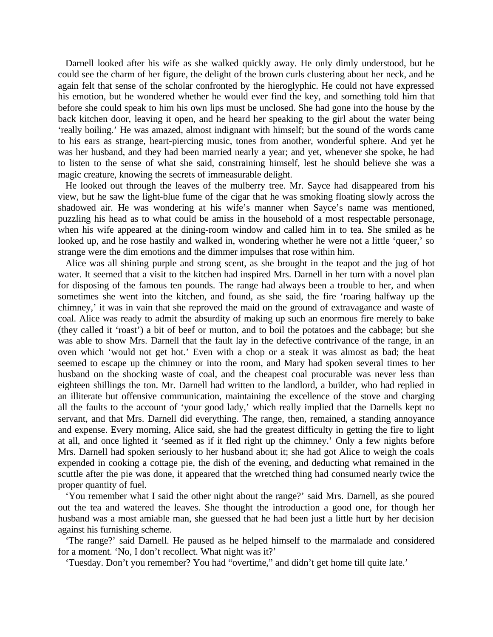Darnell looked after his wife as she walked quickly away. He only dimly understood, but he could see the charm of her figure, the delight of the brown curls clustering about her neck, and he again felt that sense of the scholar confronted by the hieroglyphic. He could not have expressed his emotion, but he wondered whether he would ever find the key, and something told him that before she could speak to him his own lips must be unclosed. She had gone into the house by the back kitchen door, leaving it open, and he heard her speaking to the girl about the water being 'really boiling.' He was amazed, almost indignant with himself; but the sound of the words came to his ears as strange, heart-piercing music, tones from another, wonderful sphere. And yet he was her husband, and they had been married nearly a year; and yet, whenever she spoke, he had to listen to the sense of what she said, constraining himself, lest he should believe she was a magic creature, knowing the secrets of immeasurable delight.

He looked out through the leaves of the mulberry tree. Mr. Sayce had disappeared from his view, but he saw the light-blue fume of the cigar that he was smoking floating slowly across the shadowed air. He was wondering at his wife's manner when Sayce's name was mentioned, puzzling his head as to what could be amiss in the household of a most respectable personage, when his wife appeared at the dining-room window and called him in to tea. She smiled as he looked up, and he rose hastily and walked in, wondering whether he were not a little 'queer,' so strange were the dim emotions and the dimmer impulses that rose within him.

Alice was all shining purple and strong scent, as she brought in the teapot and the jug of hot water. It seemed that a visit to the kitchen had inspired Mrs. Darnell in her turn with a novel plan for disposing of the famous ten pounds. The range had always been a trouble to her, and when sometimes she went into the kitchen, and found, as she said, the fire 'roaring halfway up the chimney,' it was in vain that she reproved the maid on the ground of extravagance and waste of coal. Alice was ready to admit the absurdity of making up such an enormous fire merely to bake (they called it 'roast') a bit of beef or mutton, and to boil the potatoes and the cabbage; but she was able to show Mrs. Darnell that the fault lay in the defective contrivance of the range, in an oven which 'would not get hot.' Even with a chop or a steak it was almost as bad; the heat seemed to escape up the chimney or into the room, and Mary had spoken several times to her husband on the shocking waste of coal, and the cheapest coal procurable was never less than eighteen shillings the ton. Mr. Darnell had written to the landlord, a builder, who had replied in an illiterate but offensive communication, maintaining the excellence of the stove and charging all the faults to the account of 'your good lady,' which really implied that the Darnells kept no servant, and that Mrs. Darnell did everything. The range, then, remained, a standing annoyance and expense. Every morning, Alice said, she had the greatest difficulty in getting the fire to light at all, and once lighted it 'seemed as if it fled right up the chimney.' Only a few nights before Mrs. Darnell had spoken seriously to her husband about it; she had got Alice to weigh the coals expended in cooking a cottage pie, the dish of the evening, and deducting what remained in the scuttle after the pie was done, it appeared that the wretched thing had consumed nearly twice the proper quantity of fuel.

'You remember what I said the other night about the range?' said Mrs. Darnell, as she poured out the tea and watered the leaves. She thought the introduction a good one, for though her husband was a most amiable man, she guessed that he had been just a little hurt by her decision against his furnishing scheme.

'The range?' said Darnell. He paused as he helped himself to the marmalade and considered for a moment. 'No, I don't recollect. What night was it?'

'Tuesday. Don't you remember? You had "overtime," and didn't get home till quite late.'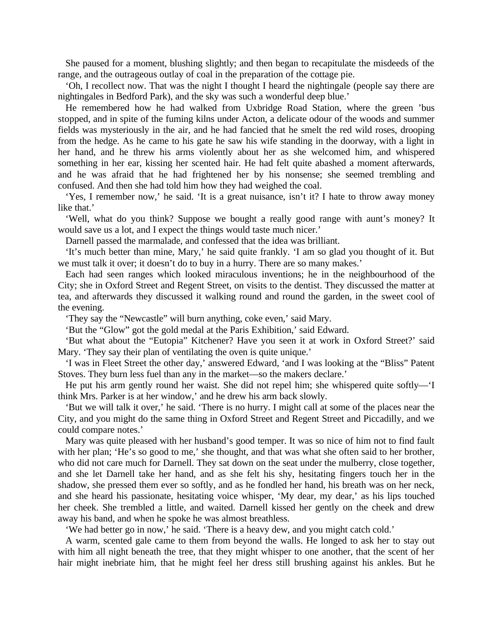She paused for a moment, blushing slightly; and then began to recapitulate the misdeeds of the range, and the outrageous outlay of coal in the preparation of the cottage pie.

'Oh, I recollect now. That was the night I thought I heard the nightingale (people say there are nightingales in Bedford Park), and the sky was such a wonderful deep blue.'

He remembered how he had walked from Uxbridge Road Station, where the green 'bus stopped, and in spite of the fuming kilns under Acton, a delicate odour of the woods and summer fields was mysteriously in the air, and he had fancied that he smelt the red wild roses, drooping from the hedge. As he came to his gate he saw his wife standing in the doorway, with a light in her hand, and he threw his arms violently about her as she welcomed him, and whispered something in her ear, kissing her scented hair. He had felt quite abashed a moment afterwards, and he was afraid that he had frightened her by his nonsense; she seemed trembling and confused. And then she had told him how they had weighed the coal.

'Yes, I remember now,' he said. 'It is a great nuisance, isn't it? I hate to throw away money like that.'

'Well, what do you think? Suppose we bought a really good range with aunt's money? It would save us a lot, and I expect the things would taste much nicer.'

Darnell passed the marmalade, and confessed that the idea was brilliant.

'It's much better than mine, Mary,' he said quite frankly. 'I am so glad you thought of it. But we must talk it over; it doesn't do to buy in a hurry. There are so many makes.'

Each had seen ranges which looked miraculous inventions; he in the neighbourhood of the City; she in Oxford Street and Regent Street, on visits to the dentist. They discussed the matter at tea, and afterwards they discussed it walking round and round the garden, in the sweet cool of the evening.

'They say the "Newcastle" will burn anything, coke even,' said Mary.

'But the "Glow" got the gold medal at the Paris Exhibition,' said Edward.

'But what about the "Eutopia" Kitchener? Have you seen it at work in Oxford Street?' said Mary. 'They say their plan of ventilating the oven is quite unique.'

'I was in Fleet Street the other day,' answered Edward, 'and I was looking at the "Bliss" Patent Stoves. They burn less fuel than any in the market—so the makers declare.'

He put his arm gently round her waist. She did not repel him; she whispered quite softly—'I think Mrs. Parker is at her window,' and he drew his arm back slowly.

'But we will talk it over,' he said. 'There is no hurry. I might call at some of the places near the City, and you might do the same thing in Oxford Street and Regent Street and Piccadilly, and we could compare notes.'

Mary was quite pleased with her husband's good temper. It was so nice of him not to find fault with her plan; 'He's so good to me,' she thought, and that was what she often said to her brother, who did not care much for Darnell. They sat down on the seat under the mulberry, close together, and she let Darnell take her hand, and as she felt his shy, hesitating fingers touch her in the shadow, she pressed them ever so softly, and as he fondled her hand, his breath was on her neck, and she heard his passionate, hesitating voice whisper, 'My dear, my dear,' as his lips touched her cheek. She trembled a little, and waited. Darnell kissed her gently on the cheek and drew away his band, and when he spoke he was almost breathless.

'We had better go in now,' he said. 'There is a heavy dew, and you might catch cold.'

A warm, scented gale came to them from beyond the walls. He longed to ask her to stay out with him all night beneath the tree, that they might whisper to one another, that the scent of her hair might inebriate him, that he might feel her dress still brushing against his ankles. But he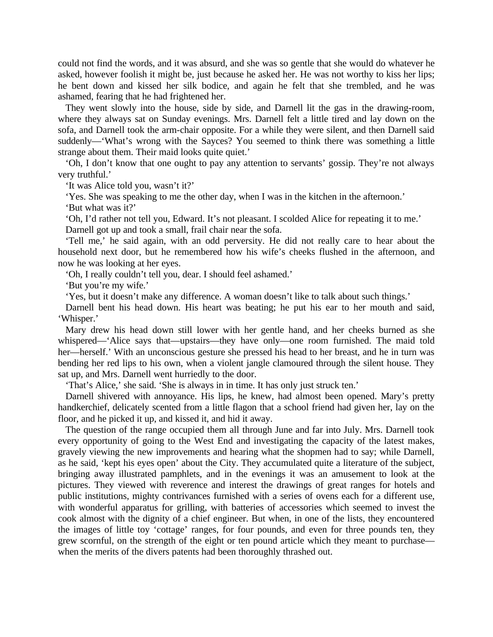could not find the words, and it was absurd, and she was so gentle that she would do whatever he asked, however foolish it might be, just because he asked her. He was not worthy to kiss her lips; he bent down and kissed her silk bodice, and again he felt that she trembled, and he was ashamed, fearing that he had frightened her.

They went slowly into the house, side by side, and Darnell lit the gas in the drawing-room, where they always sat on Sunday evenings. Mrs. Darnell felt a little tired and lay down on the sofa, and Darnell took the arm-chair opposite. For a while they were silent, and then Darnell said suddenly—'What's wrong with the Sayces? You seemed to think there was something a little strange about them. Their maid looks quite quiet.'

'Oh, I don't know that one ought to pay any attention to servants' gossip. They're not always very truthful.'

'It was Alice told you, wasn't it?'

'Yes. She was speaking to me the other day, when I was in the kitchen in the afternoon.' 'But what was it?'

'Oh, I'd rather not tell you, Edward. It's not pleasant. I scolded Alice for repeating it to me.' Darnell got up and took a small, frail chair near the sofa.

'Tell me,' he said again, with an odd perversity. He did not really care to hear about the household next door, but he remembered how his wife's cheeks flushed in the afternoon, and now he was looking at her eyes.

'Oh, I really couldn't tell you, dear. I should feel ashamed.'

'But you're my wife.'

'Yes, but it doesn't make any difference. A woman doesn't like to talk about such things.'

Darnell bent his head down. His heart was beating; he put his ear to her mouth and said, 'Whisper.'

Mary drew his head down still lower with her gentle hand, and her cheeks burned as she whispered—'Alice says that—upstairs—they have only—one room furnished. The maid told her—herself.' With an unconscious gesture she pressed his head to her breast, and he in turn was bending her red lips to his own, when a violent jangle clamoured through the silent house. They sat up, and Mrs. Darnell went hurriedly to the door.

'That's Alice,' she said. 'She is always in in time. It has only just struck ten.'

Darnell shivered with annoyance. His lips, he knew, had almost been opened. Mary's pretty handkerchief, delicately scented from a little flagon that a school friend had given her, lay on the floor, and he picked it up, and kissed it, and hid it away.

The question of the range occupied them all through June and far into July. Mrs. Darnell took every opportunity of going to the West End and investigating the capacity of the latest makes, gravely viewing the new improvements and hearing what the shopmen had to say; while Darnell, as he said, 'kept his eyes open' about the City. They accumulated quite a literature of the subject, bringing away illustrated pamphlets, and in the evenings it was an amusement to look at the pictures. They viewed with reverence and interest the drawings of great ranges for hotels and public institutions, mighty contrivances furnished with a series of ovens each for a different use, with wonderful apparatus for grilling, with batteries of accessories which seemed to invest the cook almost with the dignity of a chief engineer. But when, in one of the lists, they encountered the images of little toy 'cottage' ranges, for four pounds, and even for three pounds ten, they grew scornful, on the strength of the eight or ten pound article which they meant to purchase when the merits of the divers patents had been thoroughly thrashed out.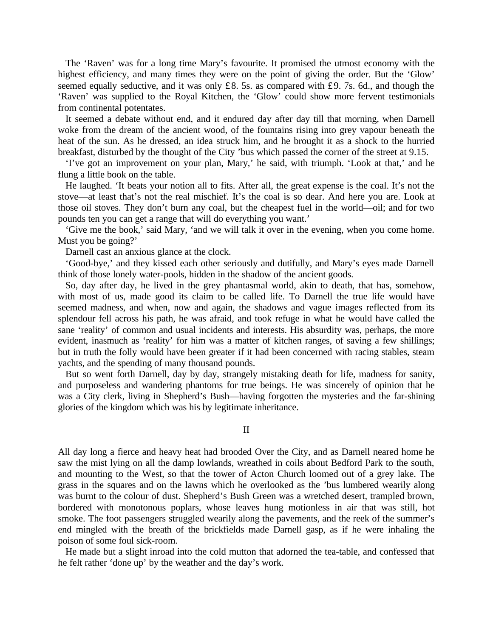The 'Raven' was for a long time Mary's favourite. It promised the utmost economy with the highest efficiency, and many times they were on the point of giving the order. But the 'Glow' seemed equally seductive, and it was only £8. 5s. as compared with £9. 7s. 6d., and though the 'Raven' was supplied to the Royal Kitchen, the 'Glow' could show more fervent testimonials from continental potentates.

It seemed a debate without end, and it endured day after day till that morning, when Darnell woke from the dream of the ancient wood, of the fountains rising into grey vapour beneath the heat of the sun. As he dressed, an idea struck him, and he brought it as a shock to the hurried breakfast, disturbed by the thought of the City 'bus which passed the corner of the street at 9.15.

'I've got an improvement on your plan, Mary,' he said, with triumph. 'Look at that,' and he flung a little book on the table.

He laughed. 'It beats your notion all to fits. After all, the great expense is the coal. It's not the stove—at least that's not the real mischief. It's the coal is so dear. And here you are. Look at those oil stoves. They don't burn any coal, but the cheapest fuel in the world—oil; and for two pounds ten you can get a range that will do everything you want.'

'Give me the book,' said Mary, 'and we will talk it over in the evening, when you come home. Must you be going?'

Darnell cast an anxious glance at the clock.

'Good-bye,' and they kissed each other seriously and dutifully, and Mary's eyes made Darnell think of those lonely water-pools, hidden in the shadow of the ancient goods.

So, day after day, he lived in the grey phantasmal world, akin to death, that has, somehow, with most of us, made good its claim to be called life. To Darnell the true life would have seemed madness, and when, now and again, the shadows and vague images reflected from its splendour fell across his path, he was afraid, and took refuge in what he would have called the sane 'reality' of common and usual incidents and interests. His absurdity was, perhaps, the more evident, inasmuch as 'reality' for him was a matter of kitchen ranges, of saving a few shillings; but in truth the folly would have been greater if it had been concerned with racing stables, steam yachts, and the spending of many thousand pounds.

But so went forth Darnell, day by day, strangely mistaking death for life, madness for sanity, and purposeless and wandering phantoms for true beings. He was sincerely of opinion that he was a City clerk, living in Shepherd's Bush—having forgotten the mysteries and the far-shining glories of the kingdom which was his by legitimate inheritance.

II

All day long a fierce and heavy heat had brooded Over the City, and as Darnell neared home he saw the mist lying on all the damp lowlands, wreathed in coils about Bedford Park to the south, and mounting to the West, so that the tower of Acton Church loomed out of a grey lake. The grass in the squares and on the lawns which he overlooked as the 'bus lumbered wearily along was burnt to the colour of dust. Shepherd's Bush Green was a wretched desert, trampled brown, bordered with monotonous poplars, whose leaves hung motionless in air that was still, hot smoke. The foot passengers struggled wearily along the pavements, and the reek of the summer's end mingled with the breath of the brickfields made Darnell gasp, as if he were inhaling the poison of some foul sick-room.

He made but a slight inroad into the cold mutton that adorned the tea-table, and confessed that he felt rather 'done up' by the weather and the day's work.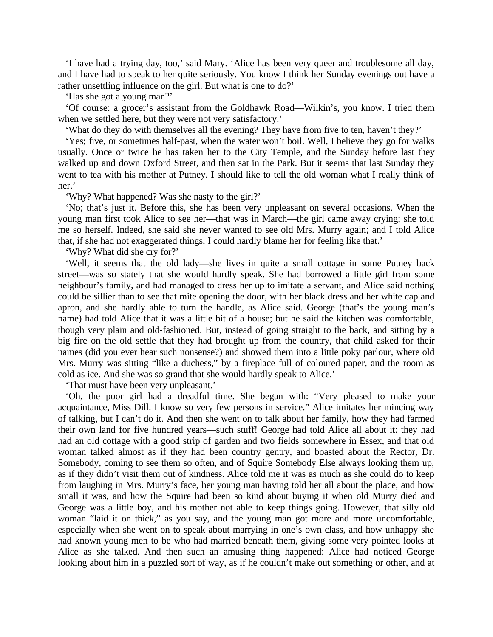'I have had a trying day, too,' said Mary. 'Alice has been very queer and troublesome all day, and I have had to speak to her quite seriously. You know I think her Sunday evenings out have a rather unsettling influence on the girl. But what is one to do?'

'Has she got a young man?'

'Of course: a grocer's assistant from the Goldhawk Road—Wilkin's, you know. I tried them when we settled here, but they were not very satisfactory.'

'What do they do with themselves all the evening? They have from five to ten, haven't they?'

'Yes; five, or sometimes half-past, when the water won't boil. Well, I believe they go for walks usually. Once or twice he has taken her to the City Temple, and the Sunday before last they walked up and down Oxford Street, and then sat in the Park. But it seems that last Sunday they went to tea with his mother at Putney. I should like to tell the old woman what I really think of her.'

'Why? What happened? Was she nasty to the girl?'

'No; that's just it. Before this, she has been very unpleasant on several occasions. When the young man first took Alice to see her—that was in March—the girl came away crying; she told me so herself. Indeed, she said she never wanted to see old Mrs. Murry again; and I told Alice that, if she had not exaggerated things, I could hardly blame her for feeling like that.'

'Why? What did she cry for?'

'Well, it seems that the old lady—she lives in quite a small cottage in some Putney back street—was so stately that she would hardly speak. She had borrowed a little girl from some neighbour's family, and had managed to dress her up to imitate a servant, and Alice said nothing could be sillier than to see that mite opening the door, with her black dress and her white cap and apron, and she hardly able to turn the handle, as Alice said. George (that's the young man's name) had told Alice that it was a little bit of a house; but he said the kitchen was comfortable, though very plain and old-fashioned. But, instead of going straight to the back, and sitting by a big fire on the old settle that they had brought up from the country, that child asked for their names (did you ever hear such nonsense?) and showed them into a little poky parlour, where old Mrs. Murry was sitting "like a duchess," by a fireplace full of coloured paper, and the room as cold as ice. And she was so grand that she would hardly speak to Alice.'

'That must have been very unpleasant.'

'Oh, the poor girl had a dreadful time. She began with: "Very pleased to make your acquaintance, Miss Dill. I know so very few persons in service." Alice imitates her mincing way of talking, but I can't do it. And then she went on to talk about her family, how they had farmed their own land for five hundred years—such stuff! George had told Alice all about it: they had had an old cottage with a good strip of garden and two fields somewhere in Essex, and that old woman talked almost as if they had been country gentry, and boasted about the Rector, Dr. Somebody, coming to see them so often, and of Squire Somebody Else always looking them up, as if they didn't visit them out of kindness. Alice told me it was as much as she could do to keep from laughing in Mrs. Murry's face, her young man having told her all about the place, and how small it was, and how the Squire had been so kind about buying it when old Murry died and George was a little boy, and his mother not able to keep things going. However, that silly old woman "laid it on thick," as you say, and the young man got more and more uncomfortable, especially when she went on to speak about marrying in one's own class, and how unhappy she had known young men to be who had married beneath them, giving some very pointed looks at Alice as she talked. And then such an amusing thing happened: Alice had noticed George looking about him in a puzzled sort of way, as if he couldn't make out something or other, and at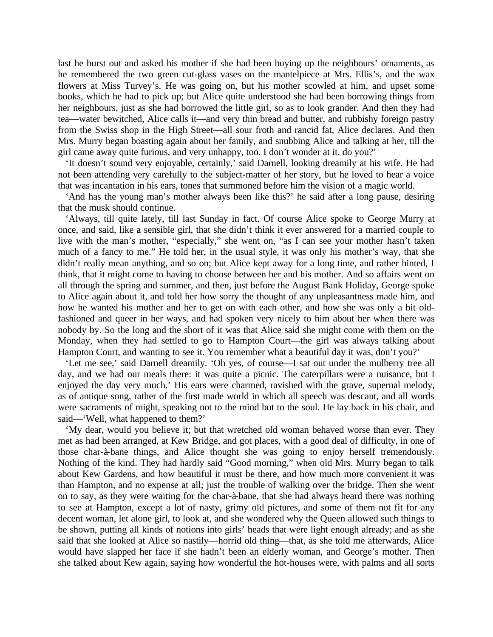last he burst out and asked his mother if she had been buying up the neighbours' ornaments, as he remembered the two green cut-glass vases on the mantelpiece at Mrs. Ellis's, and the wax flowers at Miss Turvey's. He was going on, but his mother scowled at him, and upset some books, which he had to pick up; but Alice quite understood she had been borrowing things from her neighbours, just as she had borrowed the little girl, so as to look grander. And then they had tea—water bewitched, Alice calls it—and very thin bread and butter, and rubbishy foreign pastry from the Swiss shop in the High Street—all sour froth and rancid fat, Alice declares. And then Mrs. Murry began boasting again about her family, and snubbing Alice and talking at her, till the girl came away quite furious, and very unhappy, too. I don't wonder at it, do you?'

'It doesn't sound very enjoyable, certainly,' said Darnell, looking dreamily at his wife. He had not been attending very carefully to the subject-matter of her story, but he loved to hear a voice that was incantation in his ears, tones that summoned before him the vision of a magic world.

'And has the young man's mother always been like this?' he said after a long pause, desiring that the musk should continue.

'Always, till quite lately, till last Sunday in fact. Of course Alice spoke to George Murry at once, and said, like a sensible girl, that she didn't think it ever answered for a married couple to live with the man's mother, "especially," she went on, "as I can see your mother hasn't taken much of a fancy to me." He told her, in the usual style, it was only his mother's way, that she didn't really mean anything, and so on; but Alice kept away for a long time, and rather hinted, I think, that it might come to having to choose between her and his mother. And so affairs went on all through the spring and summer, and then, just before the August Bank Holiday, George spoke to Alice again about it, and told her how sorry the thought of any unpleasantness made him, and how he wanted his mother and her to get on with each other, and how she was only a bit oldfashioned and queer in her ways, and had spoken very nicely to him about her when there was nobody by. So the long and the short of it was that Alice said she might come with them on the Monday, when they had settled to go to Hampton Court—the girl was always talking about Hampton Court, and wanting to see it. You remember what a beautiful day it was, don't you?'

'Let me see,' said Darnell dreamily. 'Oh yes, of course—I sat out under the mulberry tree all day, and we had our meals there: it was quite a picnic. The caterpillars were a nuisance, but I enjoyed the day very much.' His ears were charmed, ravished with the grave, supernal melody, as of antique song, rather of the first made world in which all speech was descant, and all words were sacraments of might, speaking not to the mind but to the soul. He lay back in his chair, and said—'Well, what happened to them?'

'My dear, would you believe it; but that wretched old woman behaved worse than ever. They met as had been arranged, at Kew Bridge, and got places, with a good deal of difficulty, in one of those char-à-bane things, and Alice thought she was going to enjoy herself tremendously. Nothing of the kind. They had hardly said "Good morning," when old Mrs. Murry began to talk about Kew Gardens, and how beautiful it must be there, and how much more convenient it was than Hampton, and no expense at all; just the trouble of walking over the bridge. Then she went on to say, as they were waiting for the char-à-bane, that she had always heard there was nothing to see at Hampton, except a lot of nasty, grimy old pictures, and some of them not fit for any decent woman, let alone girl, to look at, and she wondered why the Queen allowed such things to be shown, putting all kinds of notions into girls' heads that were light enough already; and as she said that she looked at Alice so nastily—horrid old thing—that, as she told me afterwards, Alice would have slapped her face if she hadn't been an elderly woman, and George's mother. Then she talked about Kew again, saying how wonderful the hot-houses were, with palms and all sorts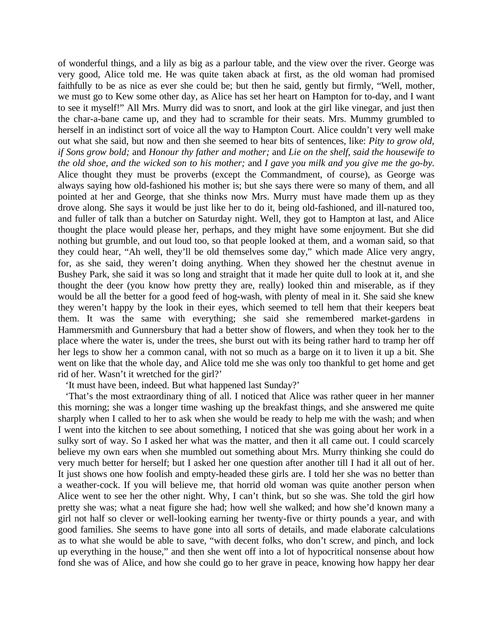of wonderful things, and a lily as big as a parlour table, and the view over the river. George was very good, Alice told me. He was quite taken aback at first, as the old woman had promised faithfully to be as nice as ever she could be; but then he said, gently but firmly, "Well, mother, we must go to Kew some other day, as Alice has set her heart on Hampton for to-day, and I want to see it myself!" All Mrs. Murry did was to snort, and look at the girl like vinegar, and just then the char-a-bane came up, and they had to scramble for their seats. Mrs. Mummy grumbled to herself in an indistinct sort of voice all the way to Hampton Court. Alice couldn't very well make out what she said, but now and then she seemed to hear bits of sentences, like: *Pity to grow old, if Sons grow bold;* and *Honour thy father and mother;* and *Lie on the shelf, said the housewife to the old shoe, and the wicked son to his mother;* and *I gave you milk and you give me the go-by.*  Alice thought they must be proverbs (except the Commandment, of course), as George was always saying how old-fashioned his mother is; but she says there were so many of them, and all pointed at her and George, that she thinks now Mrs. Murry must have made them up as they drove along. She says it would be just like her to do it, being old-fashioned, and ill-natured too, and fuller of talk than a butcher on Saturday night. Well, they got to Hampton at last, and Alice thought the place would please her, perhaps, and they might have some enjoyment. But she did nothing but grumble, and out loud too, so that people looked at them, and a woman said, so that they could hear, "Ah well, they'll be old themselves some day," which made Alice very angry, for, as she said, they weren't doing anything. When they showed her the chestnut avenue in Bushey Park, she said it was so long and straight that it made her quite dull to look at it, and she thought the deer (you know how pretty they are, really) looked thin and miserable, as if they would be all the better for a good feed of hog-wash, with plenty of meal in it. She said she knew they weren't happy by the look in their eyes, which seemed to tell hem that their keepers beat them. It was the same with everything; she said she remembered market-gardens in Hammersmith and Gunnersbury that had a better show of flowers, and when they took her to the place where the water is, under the trees, she burst out with its being rather hard to tramp her off her legs to show her a common canal, with not so much as a barge on it to liven it up a bit. She went on like that the whole day, and Alice told me she was only too thankful to get home and get rid of her. Wasn't it wretched for the girl?'

'It must have been, indeed. But what happened last Sunday?'

'That's the most extraordinary thing of all. I noticed that Alice was rather queer in her manner this morning; she was a longer time washing up the breakfast things, and she answered me quite sharply when I called to her to ask when she would be ready to help me with the wash; and when I went into the kitchen to see about something, I noticed that she was going about her work in a sulky sort of way. So I asked her what was the matter, and then it all came out. I could scarcely believe my own ears when she mumbled out something about Mrs. Murry thinking she could do very much better for herself; but I asked her one question after another till I had it all out of her. It just shows one how foolish and empty-headed these girls are. I told her she was no better than a weather-cock. If you will believe me, that horrid old woman was quite another person when Alice went to see her the other night. Why, I can't think, but so she was. She told the girl how pretty she was; what a neat figure she had; how well she walked; and how she'd known many a girl not half so clever or well-looking earning her twenty-five or thirty pounds a year, and with good families. She seems to have gone into all sorts of details, and made elaborate calculations as to what she would be able to save, "with decent folks, who don't screw, and pinch, and lock up everything in the house," and then she went off into a lot of hypocritical nonsense about how fond she was of Alice, and how she could go to her grave in peace, knowing how happy her dear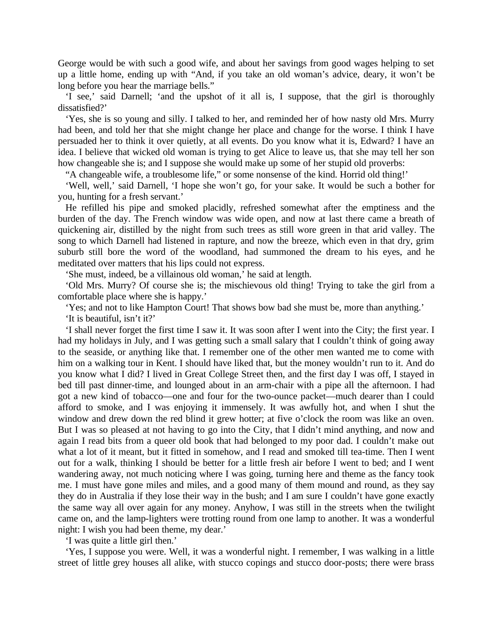George would be with such a good wife, and about her savings from good wages helping to set up a little home, ending up with "And, if you take an old woman's advice, deary, it won't be long before you hear the marriage bells."

'I see,' said Darnell; 'and the upshot of it all is, I suppose, that the girl is thoroughly dissatisfied?'

'Yes, she is so young and silly. I talked to her, and reminded her of how nasty old Mrs. Murry had been, and told her that she might change her place and change for the worse. I think I have persuaded her to think it over quietly, at all events. Do you know what it is, Edward? I have an idea. I believe that wicked old woman is trying to get Alice to leave us, that she may tell her son how changeable she is; and I suppose she would make up some of her stupid old proverbs:

"A changeable wife, a troublesome life," or some nonsense of the kind. Horrid old thing!'

'Well, well,' said Darnell, 'I hope she won't go, for your sake. It would be such a bother for you, hunting for a fresh servant.'

He refilled his pipe and smoked placidly, refreshed somewhat after the emptiness and the burden of the day. The French window was wide open, and now at last there came a breath of quickening air, distilled by the night from such trees as still wore green in that arid valley. The song to which Darnell had listened in rapture, and now the breeze, which even in that dry, grim suburb still bore the word of the woodland, had summoned the dream to his eyes, and he meditated over matters that his lips could not express.

'She must, indeed, be a villainous old woman,' he said at length.

'Old Mrs. Murry? Of course she is; the mischievous old thing! Trying to take the girl from a comfortable place where she is happy.'

'Yes; and not to like Hampton Court! That shows bow bad she must be, more than anything.'

'It is beautiful, isn't it?'

'I shall never forget the first time I saw it. It was soon after I went into the City; the first year. I had my holidays in July, and I was getting such a small salary that I couldn't think of going away to the seaside, or anything like that. I remember one of the other men wanted me to come with him on a walking tour in Kent. I should have liked that, but the money wouldn't run to it. And do you know what I did? I lived in Great College Street then, and the first day I was off, I stayed in bed till past dinner-time, and lounged about in an arm-chair with a pipe all the afternoon. I had got a new kind of tobacco—one and four for the two-ounce packet—much dearer than I could afford to smoke, and I was enjoying it immensely. It was awfully hot, and when I shut the window and drew down the red blind it grew hotter; at five o'clock the room was like an oven. But I was so pleased at not having to go into the City, that I didn't mind anything, and now and again I read bits from a queer old book that had belonged to my poor dad. I couldn't make out what a lot of it meant, but it fitted in somehow, and I read and smoked till tea-time. Then I went out for a walk, thinking I should be better for a little fresh air before I went to bed; and I went wandering away, not much noticing where I was going, turning here and theme as the fancy took me. I must have gone miles and miles, and a good many of them mound and round, as they say they do in Australia if they lose their way in the bush; and I am sure I couldn't have gone exactly the same way all over again for any money. Anyhow, I was still in the streets when the twilight came on, and the lamp-lighters were trotting round from one lamp to another. It was a wonderful night: I wish you had been theme, my dear.'

'I was quite a little girl then.'

'Yes, I suppose you were. Well, it was a wonderful night. I remember, I was walking in a little street of little grey houses all alike, with stucco copings and stucco door-posts; there were brass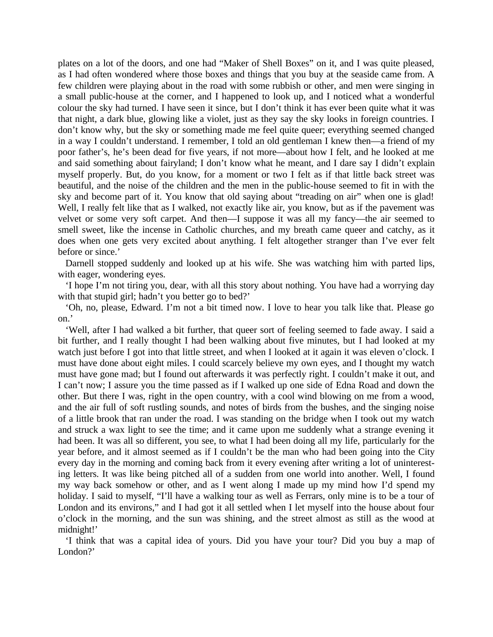plates on a lot of the doors, and one had "Maker of Shell Boxes" on it, and I was quite pleased, as I had often wondered where those boxes and things that you buy at the seaside came from. A few children were playing about in the road with some rubbish or other, and men were singing in a small public-house at the corner, and I happened to look up, and I noticed what a wonderful colour the sky had turned. I have seen it since, but I don't think it has ever been quite what it was that night, a dark blue, glowing like a violet, just as they say the sky looks in foreign countries. I don't know why, but the sky or something made me feel quite queer; everything seemed changed in a way I couldn't understand. I remember, I told an old gentleman I knew then—a friend of my poor father's, he's been dead for five years, if not more—about how I felt, and he looked at me and said something about fairyland; I don't know what he meant, and I dare say I didn't explain myself properly. But, do you know, for a moment or two I felt as if that little back street was beautiful, and the noise of the children and the men in the public-house seemed to fit in with the sky and become part of it. You know that old saying about "treading on air" when one is glad! Well, I really felt like that as I walked, not exactly like air, you know, but as if the pavement was velvet or some very soft carpet. And then—I suppose it was all my fancy—the air seemed to smell sweet, like the incense in Catholic churches, and my breath came queer and catchy, as it does when one gets very excited about anything. I felt altogether stranger than I've ever felt before or since.'

Darnell stopped suddenly and looked up at his wife. She was watching him with parted lips, with eager, wondering eyes.

'I hope I'm not tiring you, dear, with all this story about nothing. You have had a worrying day with that stupid girl; hadn't you better go to bed?'

'Oh, no, please, Edward. I'm not a bit timed now. I love to hear you talk like that. Please go on.'

'Well, after I had walked a bit further, that queer sort of feeling seemed to fade away. I said a bit further, and I really thought I had been walking about five minutes, but I had looked at my watch just before I got into that little street, and when I looked at it again it was eleven o'clock. I must have done about eight miles. I could scarcely believe my own eyes, and I thought my watch must have gone mad; but I found out afterwards it was perfectly right. I couldn't make it out, and I can't now; I assure you the time passed as if I walked up one side of Edna Road and down the other. But there I was, right in the open country, with a cool wind blowing on me from a wood, and the air full of soft rustling sounds, and notes of birds from the bushes, and the singing noise of a little brook that ran under the road. I was standing on the bridge when I took out my watch and struck a wax light to see the time; and it came upon me suddenly what a strange evening it had been. It was all so different, you see, to what I had been doing all my life, particularly for the year before, and it almost seemed as if I couldn't be the man who had been going into the City every day in the morning and coming back from it every evening after writing a lot of uninteresting letters. It was like being pitched all of a sudden from one world into another. Well, I found my way back somehow or other, and as I went along I made up my mind how I'd spend my holiday. I said to myself, "I'll have a walking tour as well as Ferrars, only mine is to be a tour of London and its environs," and I had got it all settled when I let myself into the house about four o'clock in the morning, and the sun was shining, and the street almost as still as the wood at midnight!'

'I think that was a capital idea of yours. Did you have your tour? Did you buy a map of London?'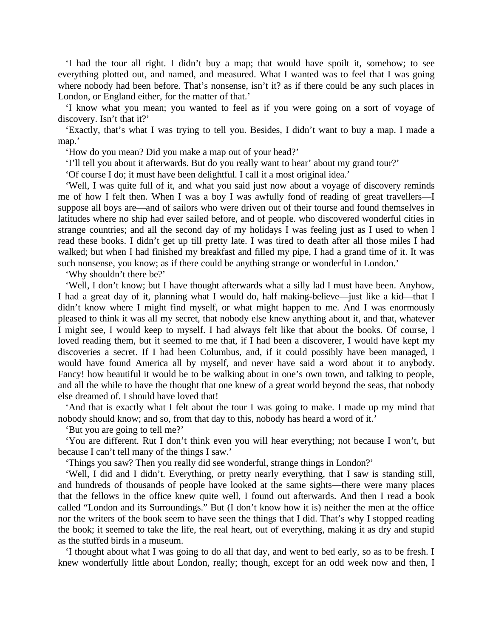'I had the tour all right. I didn't buy a map; that would have spoilt it, somehow; to see everything plotted out, and named, and measured. What I wanted was to feel that I was going where nobody had been before. That's nonsense, isn't it? as if there could be any such places in London, or England either, for the matter of that.'

'I know what you mean; you wanted to feel as if you were going on a sort of voyage of discovery. Isn't that it?'

'Exactly, that's what I was trying to tell you. Besides, I didn't want to buy a map. I made a map.'

'How do you mean? Did you make a map out of your head?'

'I'll tell you about it afterwards. But do you really want to hear' about my grand tour?'

'Of course I do; it must have been delightful. I call it a most original idea.'

'Well, I was quite full of it, and what you said just now about a voyage of discovery reminds me of how I felt then. When I was a boy I was awfully fond of reading of great travellers—I suppose all boys are—and of sailors who were driven out of their tourse and found themselves in latitudes where no ship had ever sailed before, and of people. who discovered wonderful cities in strange countries; and all the second day of my holidays I was feeling just as I used to when I read these books. I didn't get up till pretty late. I was tired to death after all those miles I had walked; but when I had finished my breakfast and filled my pipe, I had a grand time of it. It was such nonsense, you know; as if there could be anything strange or wonderful in London.'

'Why shouldn't there be?'

'Well, I don't know; but I have thought afterwards what a silly lad I must have been. Anyhow, I had a great day of it, planning what I would do, half making-believe—just like a kid—that I didn't know where I might find myself, or what might happen to me. And I was enormously pleased to think it was all my secret, that nobody else knew anything about it, and that, whatever I might see, I would keep to myself. I had always felt like that about the books. Of course, I loved reading them, but it seemed to me that, if I had been a discoverer, I would have kept my discoveries a secret. If I had been Columbus, and, if it could possibly have been managed, I would have found America all by myself, and never have said a word about it to anybody. Fancy! how beautiful it would be to be walking about in one's own town, and talking to people, and all the while to have the thought that one knew of a great world beyond the seas, that nobody else dreamed of. I should have loved that!

'And that is exactly what I felt about the tour I was going to make. I made up my mind that nobody should know; and so, from that day to this, nobody has heard a word of it.'

'But you are going to tell me?'

'You are different. Rut I don't think even you will hear everything; not because I won't, but because I can't tell many of the things I saw.'

'Things you saw? Then you really did see wonderful, strange things in London?'

'Well, I did and I didn't. Everything, or pretty nearly everything, that I saw is standing still, and hundreds of thousands of people have looked at the same sights—there were many places that the fellows in the office knew quite well, I found out afterwards. And then I read a book called "London and its Surroundings." But (I don't know how it is) neither the men at the office nor the writers of the book seem to have seen the things that I did. That's why I stopped reading the book; it seemed to take the life, the real heart, out of everything, making it as dry and stupid as the stuffed birds in a museum.

'I thought about what I was going to do all that day, and went to bed early, so as to be fresh. I knew wonderfully little about London, really; though, except for an odd week now and then, I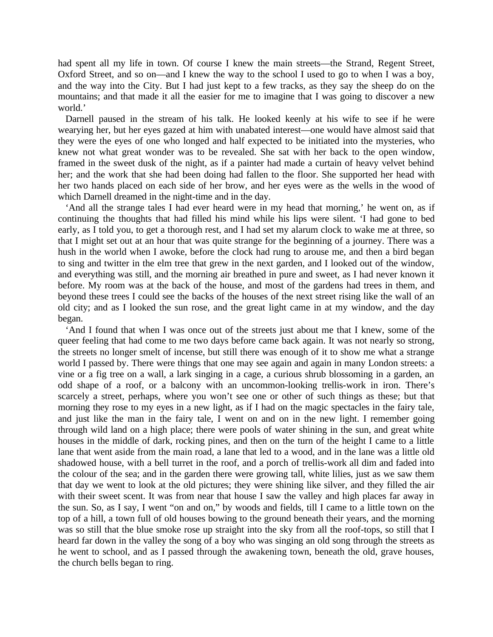had spent all my life in town. Of course I knew the main streets—the Strand, Regent Street, Oxford Street, and so on—and I knew the way to the school I used to go to when I was a boy, and the way into the City. But I had just kept to a few tracks, as they say the sheep do on the mountains; and that made it all the easier for me to imagine that I was going to discover a new world.'

Darnell paused in the stream of his talk. He looked keenly at his wife to see if he were wearying her, but her eyes gazed at him with unabated interest—one would have almost said that they were the eyes of one who longed and half expected to be initiated into the mysteries, who knew not what great wonder was to be revealed. She sat with her back to the open window, framed in the sweet dusk of the night, as if a painter had made a curtain of heavy velvet behind her; and the work that she had been doing had fallen to the floor. She supported her head with her two hands placed on each side of her brow, and her eyes were as the wells in the wood of which Darnell dreamed in the night-time and in the day.

'And all the strange tales I had ever heard were in my head that morning,' he went on, as if continuing the thoughts that had filled his mind while his lips were silent. 'I had gone to bed early, as I told you, to get a thorough rest, and I had set my alarum clock to wake me at three, so that I might set out at an hour that was quite strange for the beginning of a journey. There was a hush in the world when I awoke, before the clock had rung to arouse me, and then a bird began to sing and twitter in the elm tree that grew in the next garden, and I looked out of the window, and everything was still, and the morning air breathed in pure and sweet, as I had never known it before. My room was at the back of the house, and most of the gardens had trees in them, and beyond these trees I could see the backs of the houses of the next street rising like the wall of an old city; and as I looked the sun rose, and the great light came in at my window, and the day began.

'And I found that when I was once out of the streets just about me that I knew, some of the queer feeling that had come to me two days before came back again. It was not nearly so strong, the streets no longer smelt of incense, but still there was enough of it to show me what a strange world I passed by. There were things that one may see again and again in many London streets: a vine or a fig tree on a wall, a lark singing in a cage, a curious shrub blossoming in a garden, an odd shape of a roof, or a balcony with an uncommon-looking trellis-work in iron. There's scarcely a street, perhaps, where you won't see one or other of such things as these; but that morning they rose to my eyes in a new light, as if I had on the magic spectacles in the fairy tale, and just like the man in the fairy tale, I went on and on in the new light. I remember going through wild land on a high place; there were pools of water shining in the sun, and great white houses in the middle of dark, rocking pines, and then on the turn of the height I came to a little lane that went aside from the main road, a lane that led to a wood, and in the lane was a little old shadowed house, with a bell turret in the roof, and a porch of trellis-work all dim and faded into the colour of the sea; and in the garden there were growing tall, white lilies, just as we saw them that day we went to look at the old pictures; they were shining like silver, and they filled the air with their sweet scent. It was from near that house I saw the valley and high places far away in the sun. So, as I say, I went "on and on," by woods and fields, till I came to a little town on the top of a hill, a town full of old houses bowing to the ground beneath their years, and the morning was so still that the blue smoke rose up straight into the sky from all the roof-tops, so still that I heard far down in the valley the song of a boy who was singing an old song through the streets as he went to school, and as I passed through the awakening town, beneath the old, grave houses, the church bells began to ring.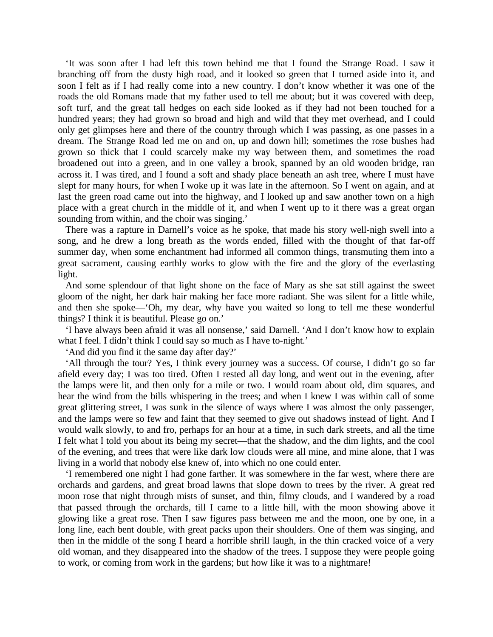'It was soon after I had left this town behind me that I found the Strange Road. I saw it branching off from the dusty high road, and it looked so green that I turned aside into it, and soon I felt as if I had really come into a new country. I don't know whether it was one of the roads the old Romans made that my father used to tell me about; but it was covered with deep, soft turf, and the great tall hedges on each side looked as if they had not been touched for a hundred years; they had grown so broad and high and wild that they met overhead, and I could only get glimpses here and there of the country through which I was passing, as one passes in a dream. The Strange Road led me on and on, up and down hill; sometimes the rose bushes had grown so thick that I could scarcely make my way between them, and sometimes the road broadened out into a green, and in one valley a brook, spanned by an old wooden bridge, ran across it. I was tired, and I found a soft and shady place beneath an ash tree, where I must have slept for many hours, for when I woke up it was late in the afternoon. So I went on again, and at last the green road came out into the highway, and I looked up and saw another town on a high place with a great church in the middle of it, and when I went up to it there was a great organ sounding from within, and the choir was singing.'

There was a rapture in Darnell's voice as he spoke, that made his story well-nigh swell into a song, and he drew a long breath as the words ended, filled with the thought of that far-off summer day, when some enchantment had informed all common things, transmuting them into a great sacrament, causing earthly works to glow with the fire and the glory of the everlasting light.

And some splendour of that light shone on the face of Mary as she sat still against the sweet gloom of the night, her dark hair making her face more radiant. She was silent for a little while, and then she spoke—'Oh, my dear, why have you waited so long to tell me these wonderful things? I think it is beautiful. Please go on.'

'I have always been afraid it was all nonsense,' said Darnell. 'And I don't know how to explain what I feel. I didn't think I could say so much as I have to-night.'

'And did you find it the same day after day?'

'All through the tour? Yes, I think every journey was a success. Of course, I didn't go so far afield every day; I was too tired. Often I rested all day long, and went out in the evening, after the lamps were lit, and then only for a mile or two. I would roam about old, dim squares, and hear the wind from the bills whispering in the trees; and when I knew I was within call of some great glittering street, I was sunk in the silence of ways where I was almost the only passenger, and the lamps were so few and faint that they seemed to give out shadows instead of light. And I would walk slowly, to and fro, perhaps for an hour at a time, in such dark streets, and all the time I felt what I told you about its being my secret—that the shadow, and the dim lights, and the cool of the evening, and trees that were like dark low clouds were all mine, and mine alone, that I was living in a world that nobody else knew of, into which no one could enter.

'I remembered one night I had gone farther. It was somewhere in the far west, where there are orchards and gardens, and great broad lawns that slope down to trees by the river. A great red moon rose that night through mists of sunset, and thin, filmy clouds, and I wandered by a road that passed through the orchards, till I came to a little hill, with the moon showing above it glowing like a great rose. Then I saw figures pass between me and the moon, one by one, in a long line, each bent double, with great packs upon their shoulders. One of them was singing, and then in the middle of the song I heard a horrible shrill laugh, in the thin cracked voice of a very old woman, and they disappeared into the shadow of the trees. I suppose they were people going to work, or coming from work in the gardens; but how like it was to a nightmare!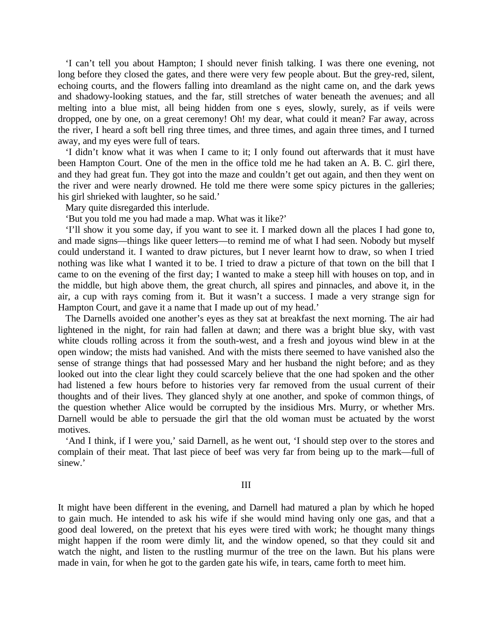'I can't tell you about Hampton; I should never finish talking. I was there one evening, not long before they closed the gates, and there were very few people about. But the grey-red, silent, echoing courts, and the flowers falling into dreamland as the night came on, and the dark yews and shadowy-looking statues, and the far, still stretches of water beneath the avenues; and all melting into a blue mist, all being hidden from one s eyes, slowly, surely, as if veils were dropped, one by one, on a great ceremony! Oh! my dear, what could it mean? Far away, across the river, I heard a soft bell ring three times, and three times, and again three times, and I turned away, and my eyes were full of tears.

'I didn't know what it was when I came to it; I only found out afterwards that it must have been Hampton Court. One of the men in the office told me he had taken an A. B. C. girl there, and they had great fun. They got into the maze and couldn't get out again, and then they went on the river and were nearly drowned. He told me there were some spicy pictures in the galleries; his girl shrieked with laughter, so he said.'

Mary quite disregarded this interlude.

'But you told me you had made a map. What was it like?'

'I'll show it you some day, if you want to see it. I marked down all the places I had gone to, and made signs—things like queer letters—to remind me of what I had seen. Nobody but myself could understand it. I wanted to draw pictures, but I never learnt how to draw, so when I tried nothing was like what I wanted it to be. I tried to draw a picture of that town on the bill that I came to on the evening of the first day; I wanted to make a steep hill with houses on top, and in the middle, but high above them, the great church, all spires and pinnacles, and above it, in the air, a cup with rays coming from it. But it wasn't a success. I made a very strange sign for Hampton Court, and gave it a name that I made up out of my head.'

The Darnells avoided one another's eyes as they sat at breakfast the next morning. The air had lightened in the night, for rain had fallen at dawn; and there was a bright blue sky, with vast white clouds rolling across it from the south-west, and a fresh and joyous wind blew in at the open window; the mists had vanished. And with the mists there seemed to have vanished also the sense of strange things that had possessed Mary and her husband the night before; and as they looked out into the clear light they could scarcely believe that the one had spoken and the other had listened a few hours before to histories very far removed from the usual current of their thoughts and of their lives. They glanced shyly at one another, and spoke of common things, of the question whether Alice would be corrupted by the insidious Mrs. Murry, or whether Mrs. Darnell would be able to persuade the girl that the old woman must be actuated by the worst motives.

'And I think, if I were you,' said Darnell, as he went out, 'I should step over to the stores and complain of their meat. That last piece of beef was very far from being up to the mark—full of sinew.'

#### III

It might have been different in the evening, and Darnell had matured a plan by which he hoped to gain much. He intended to ask his wife if she would mind having only one gas, and that a good deal lowered, on the pretext that his eyes were tired with work; he thought many things might happen if the room were dimly lit, and the window opened, so that they could sit and watch the night, and listen to the rustling murmur of the tree on the lawn. But his plans were made in vain, for when he got to the garden gate his wife, in tears, came forth to meet him.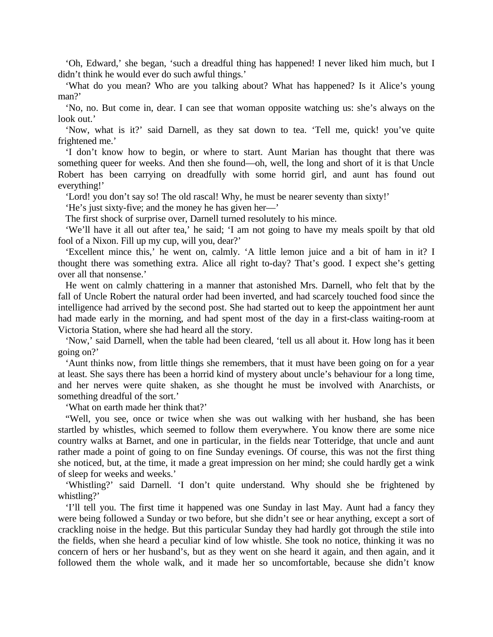'Oh, Edward,' she began, 'such a dreadful thing has happened! I never liked him much, but I didn't think he would ever do such awful things.'

'What do you mean? Who are you talking about? What has happened? Is it Alice's young man?'

'No, no. But come in, dear. I can see that woman opposite watching us: she's always on the look out.'

'Now, what is it?' said Darnell, as they sat down to tea. 'Tell me, quick! you've quite frightened me.'

'I don't know how to begin, or where to start. Aunt Marian has thought that there was something queer for weeks. And then she found—oh, well, the long and short of it is that Uncle Robert has been carrying on dreadfully with some horrid girl, and aunt has found out everything!'

'Lord! you don't say so! The old rascal! Why, he must be nearer seventy than sixty!'

'He's just sixty-five; and the money he has given her—'

The first shock of surprise over, Darnell turned resolutely to his mince.

'We'll have it all out after tea,' he said; 'I am not going to have my meals spoilt by that old fool of a Nixon. Fill up my cup, will you, dear?'

'Excellent mince this,' he went on, calmly. 'A little lemon juice and a bit of ham in it? I thought there was something extra. Alice all right to-day? That's good. I expect she's getting over all that nonsense.'

He went on calmly chattering in a manner that astonished Mrs. Darnell, who felt that by the fall of Uncle Robert the natural order had been inverted, and had scarcely touched food since the intelligence had arrived by the second post. She had started out to keep the appointment her aunt had made early in the morning, and had spent most of the day in a first-class waiting-room at Victoria Station, where she had heard all the story.

'Now,' said Darnell, when the table had been cleared, 'tell us all about it. How long has it been going on?'

'Aunt thinks now, from little things she remembers, that it must have been going on for a year at least. She says there has been a horrid kind of mystery about uncle's behaviour for a long time, and her nerves were quite shaken, as she thought he must be involved with Anarchists, or something dreadful of the sort.'

'What on earth made her think that?'

"Well, you see, once or twice when she was out walking with her husband, she has been startled by whistles, which seemed to follow them everywhere. You know there are some nice country walks at Barnet, and one in particular, in the fields near Totteridge, that uncle and aunt rather made a point of going to on fine Sunday evenings. Of course, this was not the first thing she noticed, but, at the time, it made a great impression on her mind; she could hardly get a wink of sleep for weeks and weeks.'

'Whistling?' said Darnell. 'I don't quite understand. Why should she be frightened by whistling?'

'I'll tell you. The first time it happened was one Sunday in last May. Aunt had a fancy they were being followed a Sunday or two before, but she didn't see or hear anything, except a sort of crackling noise in the hedge. But this particular Sunday they had hardly got through the stile into the fields, when she heard a peculiar kind of low whistle. She took no notice, thinking it was no concern of hers or her husband's, but as they went on she heard it again, and then again, and it followed them the whole walk, and it made her so uncomfortable, because she didn't know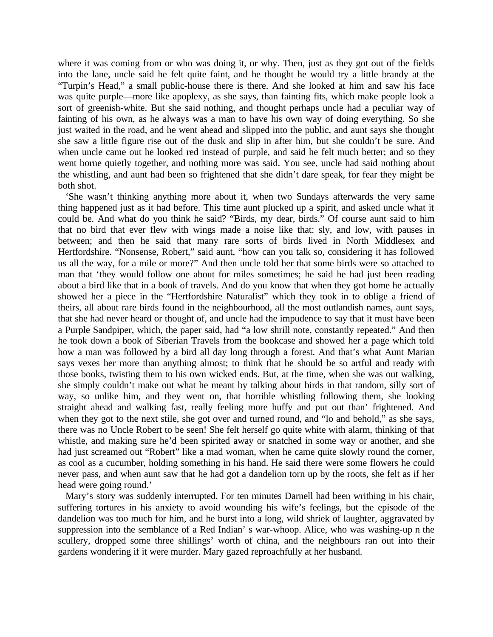where it was coming from or who was doing it, or why. Then, just as they got out of the fields into the lane, uncle said he felt quite faint, and he thought he would try a little brandy at the "Turpin's Head," a small public-house there is there. And she looked at him and saw his face was quite purple—more like apoplexy, as she says, than fainting fits, which make people look a sort of greenish-white. But she said nothing, and thought perhaps uncle had a peculiar way of fainting of his own, as he always was a man to have his own way of doing everything. So she just waited in the road, and he went ahead and slipped into the public, and aunt says she thought she saw a little figure rise out of the dusk and slip in after him, but she couldn't be sure. And when uncle came out he looked red instead of purple, and said he felt much better; and so they went borne quietly together, and nothing more was said. You see, uncle had said nothing about the whistling, and aunt had been so frightened that she didn't dare speak, for fear they might be both shot.

'She wasn't thinking anything more about it, when two Sundays afterwards the very same thing happened just as it had before. This time aunt plucked up a spirit, and asked uncle what it could be. And what do you think he said? "Birds, my dear, birds." Of course aunt said to him that no bird that ever flew with wings made a noise like that: sly, and low, with pauses in between; and then he said that many rare sorts of birds lived in North Middlesex and Hertfordshire. "Nonsense, Robert," said aunt, "how can you talk so, considering it has followed us all the way, for a mile or more?" And then uncle told her that some birds were so attached to man that 'they would follow one about for miles sometimes; he said he had just been reading about a bird like that in a book of travels. And do you know that when they got home he actually showed her a piece in the "Hertfordshire Naturalist" which they took in to oblige a friend of theirs, all about rare birds found in the neighbourhood, all the most outlandish names, aunt says, that she had never heard or thought of, and uncle had the impudence to say that it must have been a Purple Sandpiper, which, the paper said, had "a low shrill note, constantly repeated." And then he took down a book of Siberian Travels from the bookcase and showed her a page which told how a man was followed by a bird all day long through a forest. And that's what Aunt Marian says vexes her more than anything almost; to think that he should be so artful and ready with those books, twisting them to his own wicked ends. But, at the time, when she was out walking, she simply couldn't make out what he meant by talking about birds in that random, silly sort of way, so unlike him, and they went on, that horrible whistling following them, she looking straight ahead and walking fast, really feeling more huffy and put out than' frightened. And when they got to the next stile, she got over and turned round, and "lo and behold," as she says, there was no Uncle Robert to be seen! She felt herself go quite white with alarm, thinking of that whistle, and making sure he'd been spirited away or snatched in some way or another, and she had just screamed out "Robert" like a mad woman, when he came quite slowly round the corner, as cool as a cucumber, holding something in his hand. He said there were some flowers he could never pass, and when aunt saw that he had got a dandelion torn up by the roots, she felt as if her head were going round.'

Mary's story was suddenly interrupted. For ten minutes Darnell had been writhing in his chair, suffering tortures in his anxiety to avoid wounding his wife's feelings, but the episode of the dandelion was too much for him, and he burst into a long, wild shriek of laughter, aggravated by suppression into the semblance of a Red Indian' s war-whoop. Alice, who was washing-up n the scullery, dropped some three shillings' worth of china, and the neighbours ran out into their gardens wondering if it were murder. Mary gazed reproachfully at her husband.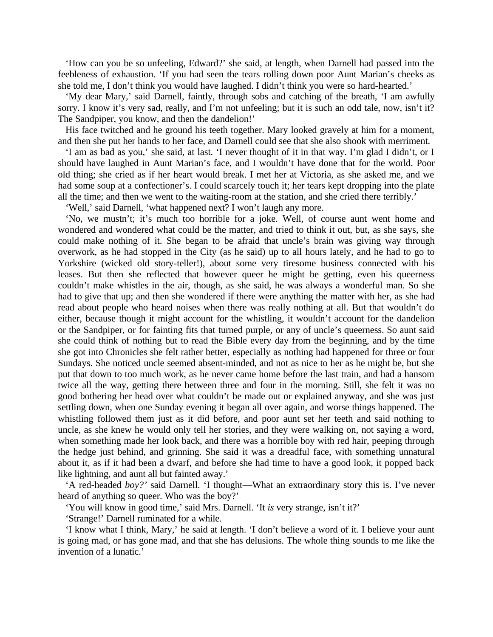'How can you be so unfeeling, Edward?' she said, at length, when Darnell had passed into the feebleness of exhaustion. 'If you had seen the tears rolling down poor Aunt Marian's cheeks as she told me, I don't think you would have laughed. I didn't think you were so hard-hearted.'

'My dear Mary,' said Darnell, faintly, through sobs and catching of the breath, 'I am awfully sorry. I know it's very sad, really, and I'm not unfeeling; but it is such an odd tale, now, isn't it? The Sandpiper, you know, and then the dandelion!'

His face twitched and he ground his teeth together. Mary looked gravely at him for a moment, and then she put her hands to her face, and Darnell could see that she also shook with merriment.

'I am as bad as you,' she said, at last. 'I never thought of it in that way. I'm glad I didn't, or I should have laughed in Aunt Marian's face, and I wouldn't have done that for the world. Poor old thing; she cried as if her heart would break. I met her at Victoria, as she asked me, and we had some soup at a confectioner's. I could scarcely touch it; her tears kept dropping into the plate all the time; and then we went to the waiting-room at the station, and she cried there terribly.'

'Well,' said Darnell, 'what happened next? I won't laugh any more.

'No, we mustn't; it's much too horrible for a joke. Well, of course aunt went home and wondered and wondered what could be the matter, and tried to think it out, but, as she says, she could make nothing of it. She began to be afraid that uncle's brain was giving way through overwork, as he had stopped in the City (as he said) up to all hours lately, and he had to go to Yorkshire (wicked old story-teller!), about some very tiresome business connected with his leases. But then she reflected that however queer he might be getting, even his queerness couldn't make whistles in the air, though, as she said, he was always a wonderful man. So she had to give that up; and then she wondered if there were anything the matter with her, as she had read about people who heard noises when there was really nothing at all. But that wouldn't do either, because though it might account for the whistling, it wouldn't account for the dandelion or the Sandpiper, or for fainting fits that turned purple, or any of uncle's queerness. So aunt said she could think of nothing but to read the Bible every day from the beginning, and by the time she got into Chronicles she felt rather better, especially as nothing had happened for three or four Sundays. She noticed uncle seemed absent-minded, and not as nice to her as he might be, but she put that down to too much work, as he never came home before the last train, and had a hansom twice all the way, getting there between three and four in the morning. Still, she felt it was no good bothering her head over what couldn't be made out or explained anyway, and she was just settling down, when one Sunday evening it began all over again, and worse things happened. The whistling followed them just as it did before, and poor aunt set her teeth and said nothing to uncle, as she knew he would only tell her stories, and they were walking on, not saying a word, when something made her look back, and there was a horrible boy with red hair, peeping through the hedge just behind, and grinning. She said it was a dreadful face, with something unnatural about it, as if it had been a dwarf, and before she had time to have a good look, it popped back like lightning, and aunt all but fainted away.'

'A red-headed *boy?'* said Darnell. 'I thought—What an extraordinary story this is. I've never heard of anything so queer. Who was the boy?'

'You will know in good time,' said Mrs. Darnell. 'It *is* very strange, isn't it?'

'Strange!' Darnell ruminated for a while.

'I know what I think, Mary,' he said at length. 'I don't believe a word of it. I believe your aunt is going mad, or has gone mad, and that she has delusions. The whole thing sounds to me like the invention of a lunatic.'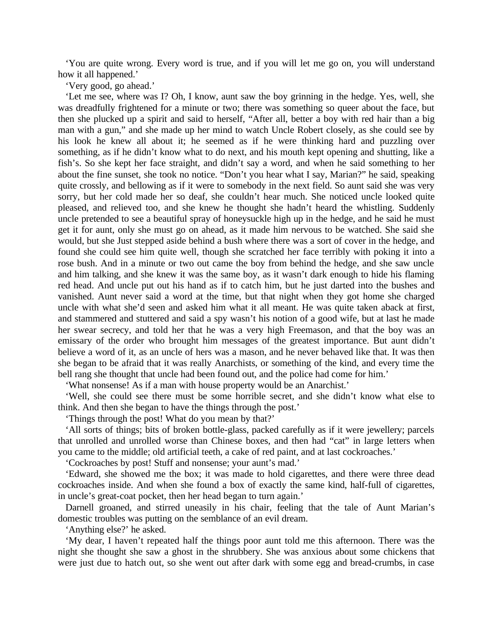'You are quite wrong. Every word is true, and if you will let me go on, you will understand how it all happened.'

'Very good, go ahead.'

'Let me see, where was I? Oh, I know, aunt saw the boy grinning in the hedge. Yes, well, she was dreadfully frightened for a minute or two; there was something so queer about the face, but then she plucked up a spirit and said to herself, "After all, better a boy with red hair than a big man with a gun," and she made up her mind to watch Uncle Robert closely, as she could see by his look he knew all about it; he seemed as if he were thinking hard and puzzling over something, as if he didn't know what to do next, and his mouth kept opening and shutting, like a fish's. So she kept her face straight, and didn't say a word, and when he said something to her about the fine sunset, she took no notice. "Don't you hear what I say, Marian?" he said, speaking quite crossly, and bellowing as if it were to somebody in the next field. So aunt said she was very sorry, but her cold made her so deaf, she couldn't hear much. She noticed uncle looked quite pleased, and relieved too, and she knew he thought she hadn't heard the whistling. Suddenly uncle pretended to see a beautiful spray of honeysuckle high up in the hedge, and he said he must get it for aunt, only she must go on ahead, as it made him nervous to be watched. She said she would, but she Just stepped aside behind a bush where there was a sort of cover in the hedge, and found she could see him quite well, though she scratched her face terribly with poking it into a rose bush. And in a minute or two out came the boy from behind the hedge, and she saw uncle and him talking, and she knew it was the same boy, as it wasn't dark enough to hide his flaming red head. And uncle put out his hand as if to catch him, but he just darted into the bushes and vanished. Aunt never said a word at the time, but that night when they got home she charged uncle with what she'd seen and asked him what it all meant. He was quite taken aback at first, and stammered and stuttered and said a spy wasn't his notion of a good wife, but at last he made her swear secrecy, and told her that he was a very high Freemason, and that the boy was an emissary of the order who brought him messages of the greatest importance. But aunt didn't believe a word of it, as an uncle of hers was a mason, and he never behaved like that. It was then she began to be afraid that it was really Anarchists, or something of the kind, and every time the bell rang she thought that uncle had been found out, and the police had come for him.'

'What nonsense! As if a man with house property would be an Anarchist.'

'Well, she could see there must be some horrible secret, and she didn't know what else to think. And then she began to have the things through the post.'

'Things through the post! What do you mean by that?'

'All sorts of things; bits of broken bottle-glass, packed carefully as if it were jewellery; parcels that unrolled and unrolled worse than Chinese boxes, and then had "cat" in large letters when you came to the middle; old artificial teeth, a cake of red paint, and at last cockroaches.'

'Cockroaches by post! Stuff and nonsense; your aunt's mad.'

'Edward, she showed me the box; it was made to hold cigarettes, and there were three dead cockroaches inside. And when she found a box of exactly the same kind, half-full of cigarettes, in uncle's great-coat pocket, then her head began to turn again.'

Darnell groaned, and stirred uneasily in his chair, feeling that the tale of Aunt Marian's domestic troubles was putting on the semblance of an evil dream.

'Anything else?' he asked.

'My dear, I haven't repeated half the things poor aunt told me this afternoon. There was the night she thought she saw a ghost in the shrubbery. She was anxious about some chickens that were just due to hatch out, so she went out after dark with some egg and bread-crumbs, in case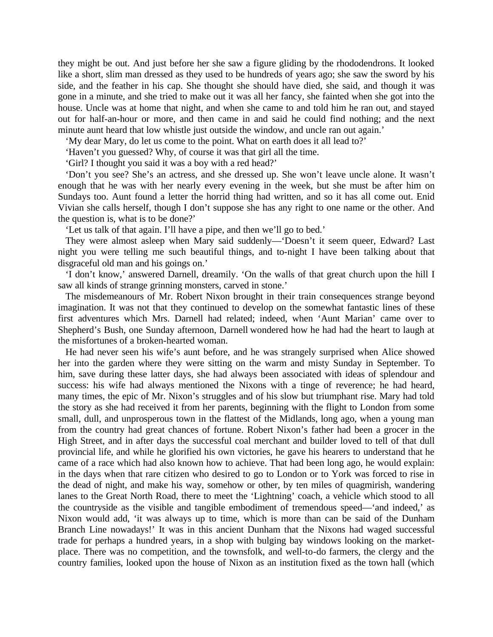they might be out. And just before her she saw a figure gliding by the rhododendrons. It looked like a short, slim man dressed as they used to be hundreds of years ago; she saw the sword by his side, and the feather in his cap. She thought she should have died, she said, and though it was gone in a minute, and she tried to make out it was all her fancy, she fainted when she got into the house. Uncle was at home that night, and when she came to and told him he ran out, and stayed out for half-an-hour or more, and then came in and said he could find nothing; and the next minute aunt heard that low whistle just outside the window, and uncle ran out again.'

'My dear Mary, do let us come to the point. What on earth does it all lead to?'

'Haven't you guessed? Why, of course it was that girl all the time.

'Girl? I thought you said it was a boy with a red head?'

'Don't you see? She's an actress, and she dressed up. She won't leave uncle alone. It wasn't enough that he was with her nearly every evening in the week, but she must be after him on Sundays too. Aunt found a letter the horrid thing had written, and so it has all come out. Enid Vivian she calls herself, though I don't suppose she has any right to one name or the other. And the question is, what is to be done?'

'Let us talk of that again. I'll have a pipe, and then we'll go to bed.'

They were almost asleep when Mary said suddenly—'Doesn't it seem queer, Edward? Last night you were telling me such beautiful things, and to-night I have been talking about that disgraceful old man and his goings on.'

'I don't know,' answered Darnell, dreamily. 'On the walls of that great church upon the hill I saw all kinds of strange grinning monsters, carved in stone.'

The misdemeanours of Mr. Robert Nixon brought in their train consequences strange beyond imagination. It was not that they continued to develop on the somewhat fantastic lines of these first adventures which Mrs. Darnell had related; indeed, when 'Aunt Marian' came over to Shepherd's Bush, one Sunday afternoon, Darnell wondered how he had had the heart to laugh at the misfortunes of a broken-hearted woman.

He had never seen his wife's aunt before, and he was strangely surprised when Alice showed her into the garden where they were sitting on the warm and misty Sunday in September. To him, save during these latter days, she had always been associated with ideas of splendour and success: his wife had always mentioned the Nixons with a tinge of reverence; he had heard, many times, the epic of Mr. Nixon's struggles and of his slow but triumphant rise. Mary had told the story as she had received it from her parents, beginning with the flight to London from some small, dull, and unprosperous town in the flattest of the Midlands, long ago, when a young man from the country had great chances of fortune. Robert Nixon's father had been a grocer in the High Street, and in after days the successful coal merchant and builder loved to tell of that dull provincial life, and while he glorified his own victories, he gave his hearers to understand that he came of a race which had also known how to achieve. That had been long ago, he would explain: in the days when that rare citizen who desired to go to London or to York was forced to rise in the dead of night, and make his way, somehow or other, by ten miles of quagmirish, wandering lanes to the Great North Road, there to meet the 'Lightning' coach, a vehicle which stood to all the countryside as the visible and tangible embodiment of tremendous speed—'and indeed,' as Nixon would add, 'it was always up to time, which is more than can be said of the Dunham Branch Line nowadays!' It was in this ancient Dunham that the Nixons had waged successful trade for perhaps a hundred years, in a shop with bulging bay windows looking on the marketplace. There was no competition, and the townsfolk, and well-to-do farmers, the clergy and the country families, looked upon the house of Nixon as an institution fixed as the town hall (which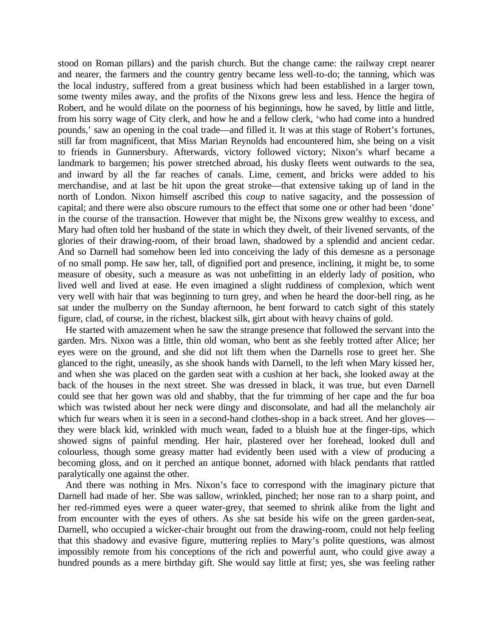stood on Roman pillars) and the parish church. But the change came: the railway crept nearer and nearer, the farmers and the country gentry became less well-to-do; the tanning, which was the local industry, suffered from a great business which had been established in a larger town, some twenty miles away, and the profits of the Nixons grew less and less. Hence the hegira of Robert, and he would dilate on the poorness of his beginnings, how he saved, by little and little, from his sorry wage of City clerk, and how he and a fellow clerk, 'who had come into a hundred pounds,' saw an opening in the coal trade—and filled it. It was at this stage of Robert's fortunes, still far from magnificent, that Miss Marian Reynolds had encountered him, she being on a visit to friends in Gunnersbury. Afterwards, victory followed victory; Nixon's wharf became a landmark to bargemen; his power stretched abroad, his dusky fleets went outwards to the sea, and inward by all the far reaches of canals. Lime, cement, and bricks were added to his merchandise, and at last be hit upon the great stroke—that extensive taking up of land in the north of London. Nixon himself ascribed this *coup* to native sagacity, and the possession of capital; and there were also obscure rumours to the effect that some one or other had been 'done' in the course of the transaction. However that might be, the Nixons grew wealthy to excess, and Mary had often told her husband of the state in which they dwelt, of their livened servants, of the glories of their drawing-room, of their broad lawn, shadowed by a splendid and ancient cedar. And so Darnell had somehow been led into conceiving the lady of this demesne as a personage of no small pomp. He saw her, tall, of dignified port and presence, inclining, it might be, to some measure of obesity, such a measure as was not unbefitting in an elderly lady of position, who lived well and lived at ease. He even imagined a slight ruddiness of complexion, which went very well with hair that was beginning to turn grey, and when he heard the door-bell ring, as he sat under the mulberry on the Sunday afternoon, he bent forward to catch sight of this stately figure, clad, of course, in the richest, blackest silk, girt about with heavy chains of gold.

He started with amazement when he saw the strange presence that followed the servant into the garden. Mrs. Nixon was a little, thin old woman, who bent as she feebly trotted after Alice; her eyes were on the ground, and she did not lift them when the Darnells rose to greet her. She glanced to the right, uneasily, as she shook hands with Darnell, to the left when Mary kissed her, and when she was placed on the garden seat with a cushion at her back, she looked away at the back of the houses in the next street. She was dressed in black, it was true, but even Darnell could see that her gown was old and shabby, that the fur trimming of her cape and the fur boa which was twisted about her neck were dingy and disconsolate, and had all the melancholy air which fur wears when it is seen in a second-hand clothes-shop in a back street. And her gloves they were black kid, wrinkled with much wean, faded to a bluish hue at the finger-tips, which showed signs of painful mending. Her hair, plastered over her forehead, looked dull and colourless, though some greasy matter had evidently been used with a view of producing a becoming gloss, and on it perched an antique bonnet, adorned with black pendants that rattled paralytically one against the other.

And there was nothing in Mrs. Nixon's face to correspond with the imaginary picture that Darnell had made of her. She was sallow, wrinkled, pinched; her nose ran to a sharp point, and her red-rimmed eyes were a queer water-grey, that seemed to shrink alike from the light and from encounter with the eyes of others. As she sat beside his wife on the green garden-seat, Darnell, who occupied a wicker-chair brought out from the drawing-room, could not help feeling that this shadowy and evasive figure, muttering replies to Mary's polite questions, was almost impossibly remote from his conceptions of the rich and powerful aunt, who could give away a hundred pounds as a mere birthday gift. She would say little at first; yes, she was feeling rather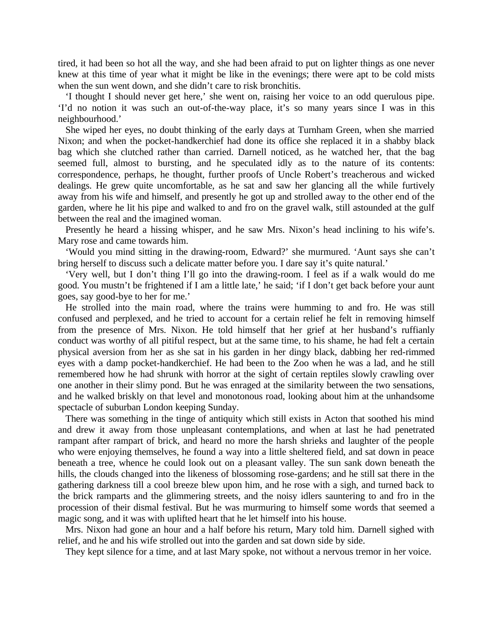tired, it had been so hot all the way, and she had been afraid to put on lighter things as one never knew at this time of year what it might be like in the evenings; there were apt to be cold mists when the sun went down, and she didn't care to risk bronchitis.

'I thought I should never get here,' she went on, raising her voice to an odd querulous pipe. 'I'd no notion it was such an out-of-the-way place, it's so many years since I was in this neighbourhood.'

She wiped her eyes, no doubt thinking of the early days at Turnham Green, when she married Nixon; and when the pocket-handkerchief had done its office she replaced it in a shabby black bag which she clutched rather than carried. Darnell noticed, as he watched her, that the bag seemed full, almost to bursting, and he speculated idly as to the nature of its contents: correspondence, perhaps, he thought, further proofs of Uncle Robert's treacherous and wicked dealings. He grew quite uncomfortable, as he sat and saw her glancing all the while furtively away from his wife and himself, and presently he got up and strolled away to the other end of the garden, where he lit his pipe and walked to and fro on the gravel walk, still astounded at the gulf between the real and the imagined woman.

Presently he heard a hissing whisper, and he saw Mrs. Nixon's head inclining to his wife's. Mary rose and came towards him.

'Would you mind sitting in the drawing-room, Edward?' she murmured. 'Aunt says she can't bring herself to discuss such a delicate matter before you. I dare say it's quite natural.'

'Very well, but I don't thing I'll go into the drawing-room. I feel as if a walk would do me good. You mustn't be frightened if I am a little late,' he said; 'if I don't get back before your aunt goes, say good-bye to her for me.'

He strolled into the main road, where the trains were humming to and fro. He was still confused and perplexed, and he tried to account for a certain relief he felt in removing himself from the presence of Mrs. Nixon. He told himself that her grief at her husband's ruffianly conduct was worthy of all pitiful respect, but at the same time, to his shame, he had felt a certain physical aversion from her as she sat in his garden in her dingy black, dabbing her red-rimmed eyes with a damp pocket-handkerchief. He had been to the Zoo when he was a lad, and he still remembered how he had shrunk with horror at the sight of certain reptiles slowly crawling over one another in their slimy pond. But he was enraged at the similarity between the two sensations, and he walked briskly on that level and monotonous road, looking about him at the unhandsome spectacle of suburban London keeping Sunday.

There was something in the tinge of antiquity which still exists in Acton that soothed his mind and drew it away from those unpleasant contemplations, and when at last he had penetrated rampant after rampart of brick, and heard no more the harsh shrieks and laughter of the people who were enjoying themselves, he found a way into a little sheltered field, and sat down in peace beneath a tree, whence he could look out on a pleasant valley. The sun sank down beneath the hills, the clouds changed into the likeness of blossoming rose-gardens; and he still sat there in the gathering darkness till a cool breeze blew upon him, and he rose with a sigh, and turned back to the brick ramparts and the glimmering streets, and the noisy idlers sauntering to and fro in the procession of their dismal festival. But he was murmuring to himself some words that seemed a magic song, and it was with uplifted heart that he let himself into his house.

Mrs. Nixon had gone an hour and a half before his return, Mary told him. Darnell sighed with relief, and he and his wife strolled out into the garden and sat down side by side.

They kept silence for a time, and at last Mary spoke, not without a nervous tremor in her voice.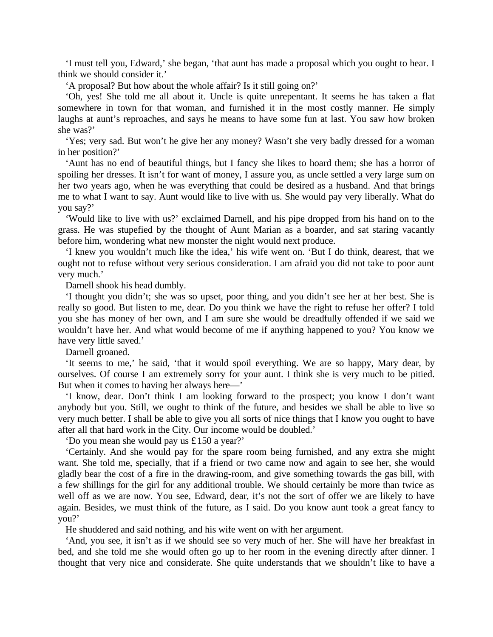'I must tell you, Edward,' she began, 'that aunt has made a proposal which you ought to hear. I think we should consider it.'

'A proposal? But how about the whole affair? Is it still going on?'

'Oh, yes! She told me all about it. Uncle is quite unrepentant. It seems he has taken a flat somewhere in town for that woman, and furnished it in the most costly manner. He simply laughs at aunt's reproaches, and says he means to have some fun at last. You saw how broken she was?'

'Yes; very sad. But won't he give her any money? Wasn't she very badly dressed for a woman in her position?'

'Aunt has no end of beautiful things, but I fancy she likes to hoard them; she has a horror of spoiling her dresses. It isn't for want of money, I assure you, as uncle settled a very large sum on her two years ago, when he was everything that could be desired as a husband. And that brings me to what I want to say. Aunt would like to live with us. She would pay very liberally. What do you say?'

'Would like to live with us?' exclaimed Darnell, and his pipe dropped from his hand on to the grass. He was stupefied by the thought of Aunt Marian as a boarder, and sat staring vacantly before him, wondering what new monster the night would next produce.

'I knew you wouldn't much like the idea,' his wife went on. 'But I do think, dearest, that we ought not to refuse without very serious consideration. I am afraid you did not take to poor aunt very much.'

Darnell shook his head dumbly.

'I thought you didn't; she was so upset, poor thing, and you didn't see her at her best. She is really so good. But listen to me, dear. Do you think we have the right to refuse her offer? I told you she has money of her own, and I am sure she would be dreadfully offended if we said we wouldn't have her. And what would become of me if anything happened to you? You know we have very little saved.'

Darnell groaned.

'It seems to me,' he said, 'that it would spoil everything. We are so happy, Mary dear, by ourselves. Of course I am extremely sorry for your aunt. I think she is very much to be pitied. But when it comes to having her always here—'

'I know, dear. Don't think I am looking forward to the prospect; you know I don't want anybody but you. Still, we ought to think of the future, and besides we shall be able to live so very much better. I shall be able to give you all sorts of nice things that I know you ought to have after all that hard work in the City. Our income would be doubled.'

'Do you mean she would pay us £150 a year?'

'Certainly. And she would pay for the spare room being furnished, and any extra she might want. She told me, specially, that if a friend or two came now and again to see her, she would gladly bear the cost of a fire in the drawing-room, and give something towards the gas bill, with a few shillings for the girl for any additional trouble. We should certainly be more than twice as well off as we are now. You see, Edward, dear, it's not the sort of offer we are likely to have again. Besides, we must think of the future, as I said. Do you know aunt took a great fancy to you?'

He shuddered and said nothing, and his wife went on with her argument.

'And, you see, it isn't as if we should see so very much of her. She will have her breakfast in bed, and she told me she would often go up to her room in the evening directly after dinner. I thought that very nice and considerate. She quite understands that we shouldn't like to have a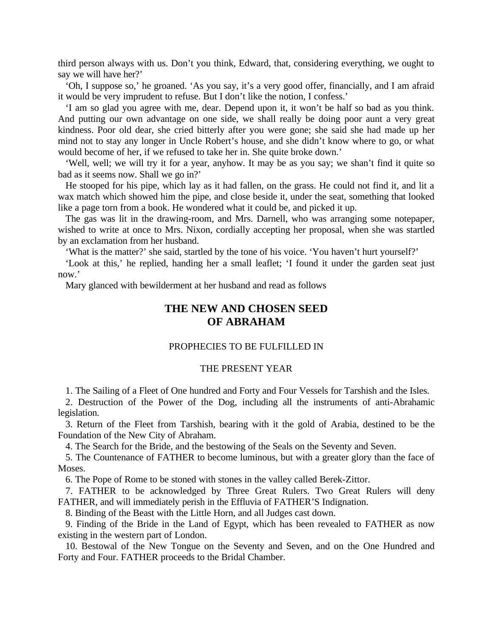third person always with us. Don't you think, Edward, that, considering everything, we ought to say we will have her?'

'Oh, I suppose so,' he groaned. 'As you say, it's a very good offer, financially, and I am afraid it would be very imprudent to refuse. But I don't like the notion, I confess.'

'I am so glad you agree with me, dear. Depend upon it, it won't be half so bad as you think. And putting our own advantage on one side, we shall really be doing poor aunt a very great kindness. Poor old dear, she cried bitterly after you were gone; she said she had made up her mind not to stay any longer in Uncle Robert's house, and she didn't know where to go, or what would become of her, if we refused to take her in. She quite broke down.'

'Well, well; we will try it for a year, anyhow. It may be as you say; we shan't find it quite so bad as it seems now. Shall we go in?'

He stooped for his pipe, which lay as it had fallen, on the grass. He could not find it, and lit a wax match which showed him the pipe, and close beside it, under the seat, something that looked like a page torn from a book. He wondered what it could be, and picked it up.

The gas was lit in the drawing-room, and Mrs. Darnell, who was arranging some notepaper, wished to write at once to Mrs. Nixon, cordially accepting her proposal, when she was startled by an exclamation from her husband.

'What is the matter?' she said, startled by the tone of his voice. 'You haven't hurt yourself?'

'Look at this,' he replied, handing her a small leaflet; 'I found it under the garden seat just now.'

Mary glanced with bewilderment at her husband and read as follows

## **THE NEW AND CHOSEN SEED OF ABRAHAM**

### PROPHECIES TO BE FULFILLED IN

### THE PRESENT YEAR

1. The Sailing of a Fleet of One hundred and Forty and Four Vessels for Tarshish and the Isles.

2. Destruction of the Power of the Dog, including all the instruments of anti-Abrahamic legislation.

3. Return of the Fleet from Tarshish, bearing with it the gold of Arabia, destined to be the Foundation of the New City of Abraham.

4. The Search for the Bride, and the bestowing of the Seals on the Seventy and Seven.

5. The Countenance of FATHER to become luminous, but with a greater glory than the face of Moses.

6. The Pope of Rome to be stoned with stones in the valley called Berek-Zittor.

7. FATHER to be acknowledged by Three Great Rulers. Two Great Rulers will deny FATHER, and will immediately perish in the Effluvia of FATHER'S Indignation.

8. Binding of the Beast with the Little Horn, and all Judges cast down.

9. Finding of the Bride in the Land of Egypt, which has been revealed to FATHER as now existing in the western part of London.

10. Bestowal of the New Tongue on the Seventy and Seven, and on the One Hundred and Forty and Four. FATHER proceeds to the Bridal Chamber.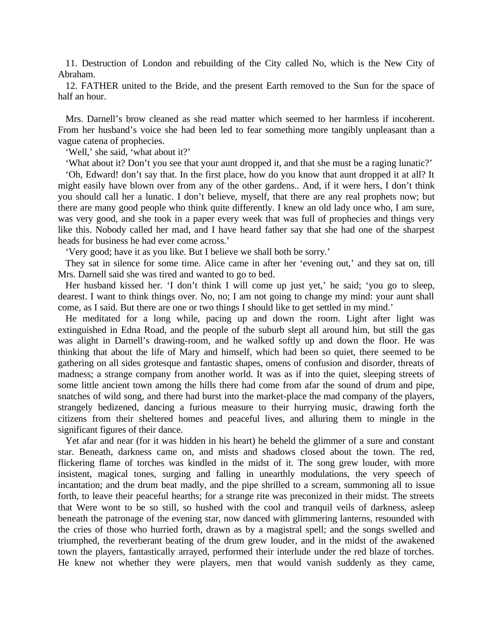11. Destruction of London and rebuilding of the City called No, which is the New City of Abraham.

12. FATHER united to the Bride, and the present Earth removed to the Sun for the space of half an hour.

Mrs. Darnell's brow cleaned as she read matter which seemed to her harmless if incoherent. From her husband's voice she had been led to fear something more tangibly unpleasant than a vague catena of prophecies.

'Well,' she said, 'what about it?'

'What about it? Don't you see that your aunt dropped it, and that she must be a raging lunatic?'

'Oh, Edward! don't say that. In the first place, how do you know that aunt dropped it at all? It might easily have blown over from any of the other gardens.. And, if it were hers, I don't think you should call her a lunatic. I don't believe, myself, that there are any real prophets now; but there are many good people who think quite differently. I knew an old lady once who, I am sure, was very good, and she took in a paper every week that was full of prophecies and things very like this. Nobody called her mad, and I have heard father say that she had one of the sharpest heads for business he had ever come across.'

'Very good; have it as you like. But I believe we shall both be sorry.'

They sat in silence for some time. Alice came in after her 'evening out,' and they sat on, till Mrs. Darnell said she was tired and wanted to go to bed.

Her husband kissed her. 'I don't think I will come up just yet,' he said; 'you go to sleep, dearest. I want to think things over. No, no; I am not going to change my mind: your aunt shall come, as I said. But there are one or two things I should like to get settled in my mind.'

He meditated for a long while, pacing up and down the room. Light after light was extinguished in Edna Road, and the people of the suburb slept all around him, but still the gas was alight in Darnell's drawing-room, and he walked softly up and down the floor. He was thinking that about the life of Mary and himself, which had been so quiet, there seemed to be gathering on all sides grotesque and fantastic shapes, omens of confusion and disorder, threats of madness; a strange company from another world. It was as if into the quiet, sleeping streets of some little ancient town among the hills there had come from afar the sound of drum and pipe, snatches of wild song, and there had burst into the market-place the mad company of the players, strangely bedizened, dancing a furious measure to their hurrying music, drawing forth the citizens from their sheltered homes and peaceful lives, and alluring them to mingle in the significant figures of their dance.

Yet afar and near (for it was hidden in his heart) he beheld the glimmer of a sure and constant star. Beneath, darkness came on, and mists and shadows closed about the town. The red, flickering flame of torches was kindled in the midst of it. The song grew louder, with more insistent, magical tones, surging and falling in unearthly modulations, the very speech of incantation; and the drum beat madly, and the pipe shrilled to a scream, summoning all to issue forth, to leave their peaceful hearths; for a strange rite was preconized in their midst. The streets that Were wont to be so still, so hushed with the cool and tranquil veils of darkness, asleep beneath the patronage of the evening star, now danced with glimmering lanterns, resounded with the cries of those who hurried forth, drawn as by a magistral spell; and the songs swelled and triumphed, the reverberant beating of the drum grew louder, and in the midst of the awakened town the players, fantastically arrayed, performed their interlude under the red blaze of torches. He knew not whether they were players, men that would vanish suddenly as they came,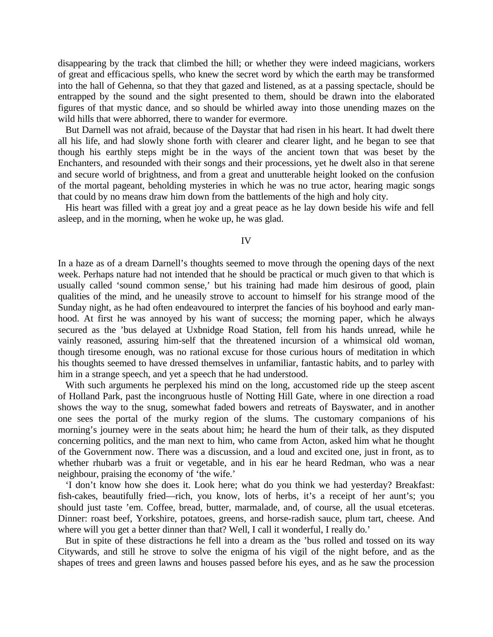disappearing by the track that climbed the hill; or whether they were indeed magicians, workers of great and efficacious spells, who knew the secret word by which the earth may be transformed into the hall of Gehenna, so that they that gazed and listened, as at a passing spectacle, should be entrapped by the sound and the sight presented to them, should be drawn into the elaborated figures of that mystic dance, and so should be whirled away into those unending mazes on the wild hills that were abhorred, there to wander for evermore.

But Darnell was not afraid, because of the Daystar that had risen in his heart. It had dwelt there all his life, and had slowly shone forth with clearer and clearer light, and he began to see that though his earthly steps might be in the ways of the ancient town that was beset by the Enchanters, and resounded with their songs and their processions, yet he dwelt also in that serene and secure world of brightness, and from a great and unutterable height looked on the confusion of the mortal pageant, beholding mysteries in which he was no true actor, hearing magic songs that could by no means draw him down from the battlements of the high and holy city.

His heart was filled with a great joy and a great peace as he lay down beside his wife and fell asleep, and in the morning, when he woke up, he was glad.

IV

In a haze as of a dream Darnell's thoughts seemed to move through the opening days of the next week. Perhaps nature had not intended that he should be practical or much given to that which is usually called 'sound common sense,' but his training had made him desirous of good, plain qualities of the mind, and he uneasily strove to account to himself for his strange mood of the Sunday night, as he had often endeavoured to interpret the fancies of his boyhood and early manhood. At first he was annoyed by his want of success; the morning paper, which he always secured as the 'bus delayed at Uxbnidge Road Station, fell from his hands unread, while he vainly reasoned, assuring him-self that the threatened incursion of a whimsical old woman, though tiresome enough, was no rational excuse for those curious hours of meditation in which his thoughts seemed to have dressed themselves in unfamiliar, fantastic habits, and to parley with him in a strange speech, and yet a speech that he had understood.

With such arguments he perplexed his mind on the long, accustomed ride up the steep ascent of Holland Park, past the incongruous hustle of Notting Hill Gate, where in one direction a road shows the way to the snug, somewhat faded bowers and retreats of Bayswater, and in another one sees the portal of the murky region of the slums. The customary companions of his morning's journey were in the seats about him; he heard the hum of their talk, as they disputed concerning politics, and the man next to him, who came from Acton, asked him what he thought of the Government now. There was a discussion, and a loud and excited one, just in front, as to whether rhubarb was a fruit or vegetable, and in his ear he heard Redman, who was a near neighbour, praising the economy of 'the wife.'

'I don't know how she does it. Look here; what do you think we had yesterday? Breakfast: fish-cakes, beautifully fried—rich, you know, lots of herbs, it's a receipt of her aunt's; you should just taste 'em. Coffee, bread, butter, marmalade, and, of course, all the usual etceteras. Dinner: roast beef, Yorkshire, potatoes, greens, and horse-radish sauce, plum tart, cheese. And where will you get a better dinner than that? Well, I call it wonderful, I really do.'

But in spite of these distractions he fell into a dream as the 'bus rolled and tossed on its way Citywards, and still he strove to solve the enigma of his vigil of the night before, and as the shapes of trees and green lawns and houses passed before his eyes, and as he saw the procession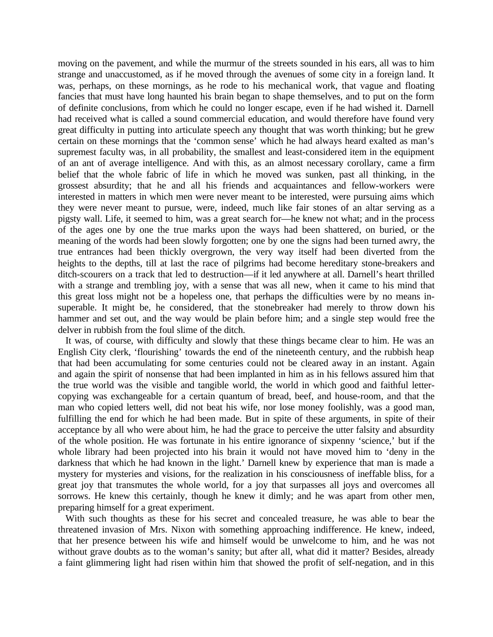moving on the pavement, and while the murmur of the streets sounded in his ears, all was to him strange and unaccustomed, as if he moved through the avenues of some city in a foreign land. It was, perhaps, on these mornings, as he rode to his mechanical work, that vague and floating fancies that must have long haunted his brain began to shape themselves, and to put on the form of definite conclusions, from which he could no longer escape, even if he had wished it. Darnell had received what is called a sound commercial education, and would therefore have found very great difficulty in putting into articulate speech any thought that was worth thinking; but he grew certain on these mornings that the 'common sense' which he had always heard exalted as man's supremest faculty was, in all probability, the smallest and least-considered item in the equipment of an ant of average intelligence. And with this, as an almost necessary corollary, came a firm belief that the whole fabric of life in which he moved was sunken, past all thinking, in the grossest absurdity; that he and all his friends and acquaintances and fellow-workers were interested in matters in which men were never meant to be interested, were pursuing aims which they were never meant to pursue, were, indeed, much like fair stones of an altar serving as a pigsty wall. Life, it seemed to him, was a great search for—he knew not what; and in the process of the ages one by one the true marks upon the ways had been shattered, on buried, or the meaning of the words had been slowly forgotten; one by one the signs had been turned awry, the true entrances had been thickly overgrown, the very way itself had been diverted from the heights to the depths, till at last the race of pilgrims had become hereditary stone-breakers and ditch-scourers on a track that led to destruction—if it led anywhere at all. Darnell's heart thrilled with a strange and trembling joy, with a sense that was all new, when it came to his mind that this great loss might not be a hopeless one, that perhaps the difficulties were by no means insuperable. It might be, he considered, that the stonebreaker had merely to throw down his hammer and set out, and the way would be plain before him; and a single step would free the delver in rubbish from the foul slime of the ditch.

It was, of course, with difficulty and slowly that these things became clear to him. He was an English City clerk, 'flourishing' towards the end of the nineteenth century, and the rubbish heap that had been accumulating for some centuries could not be cleared away in an instant. Again and again the spirit of nonsense that had been implanted in him as in his fellows assured him that the true world was the visible and tangible world, the world in which good and faithful lettercopying was exchangeable for a certain quantum of bread, beef, and house-room, and that the man who copied letters well, did not beat his wife, nor lose money foolishly, was a good man, fulfilling the end for which he had been made. But in spite of these arguments, in spite of their acceptance by all who were about him, he had the grace to perceive the utter falsity and absurdity of the whole position. He was fortunate in his entire ignorance of sixpenny 'science,' but if the whole library had been projected into his brain it would not have moved him to 'deny in the darkness that which he had known in the light.' Darnell knew by experience that man is made a mystery for mysteries and visions, for the realization in his consciousness of ineffable bliss, for a great joy that transmutes the whole world, for a joy that surpasses all joys and overcomes all sorrows. He knew this certainly, though he knew it dimly; and he was apart from other men, preparing himself for a great experiment.

With such thoughts as these for his secret and concealed treasure, he was able to bear the threatened invasion of Mrs. Nixon with something approaching indifference. He knew, indeed, that her presence between his wife and himself would be unwelcome to him, and he was not without grave doubts as to the woman's sanity; but after all, what did it matter? Besides, already a faint glimmering light had risen within him that showed the profit of self-negation, and in this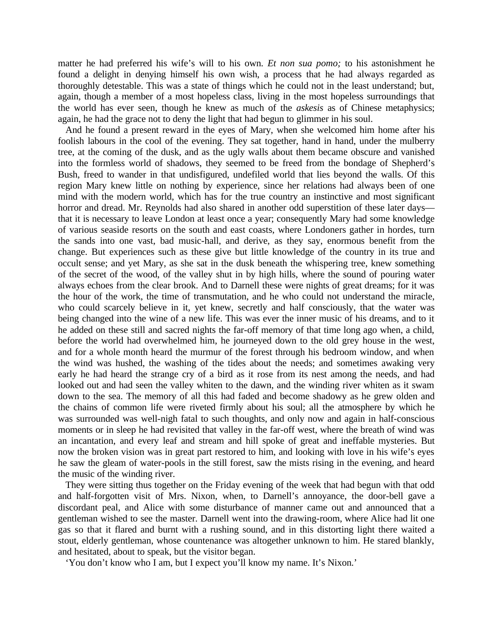matter he had preferred his wife's will to his own. *Et non sua pomo;* to his astonishment he found a delight in denying himself his own wish, a process that he had always regarded as thoroughly detestable. This was a state of things which he could not in the least understand; but, again, though a member of a most hopeless class, living in the most hopeless surroundings that the world has ever seen, though he knew as much of the *askesis* as of Chinese metaphysics; again, he had the grace not to deny the light that had begun to glimmer in his soul.

And he found a present reward in the eyes of Mary, when she welcomed him home after his foolish labours in the cool of the evening. They sat together, hand in hand, under the mulberry tree, at the coming of the dusk, and as the ugly walls about them became obscure and vanished into the formless world of shadows, they seemed to be freed from the bondage of Shepherd's Bush, freed to wander in that undisfigured, undefiled world that lies beyond the walls. Of this region Mary knew little on nothing by experience, since her relations had always been of one mind with the modern world, which has for the true country an instinctive and most significant horror and dread. Mr. Reynolds had also shared in another odd superstition of these later days that it is necessary to leave London at least once a year; consequently Mary had some knowledge of various seaside resorts on the south and east coasts, where Londoners gather in hordes, turn the sands into one vast, bad music-hall, and derive, as they say, enormous benefit from the change. But experiences such as these give but little knowledge of the country in its true and occult sense; and yet Mary, as she sat in the dusk beneath the whispering tree, knew something of the secret of the wood, of the valley shut in by high hills, where the sound of pouring water always echoes from the clear brook. And to Darnell these were nights of great dreams; for it was the hour of the work, the time of transmutation, and he who could not understand the miracle, who could scarcely believe in it, yet knew, secretly and half consciously, that the water was being changed into the wine of a new life. This was ever the inner music of his dreams, and to it he added on these still and sacred nights the far-off memory of that time long ago when, a child, before the world had overwhelmed him, he journeyed down to the old grey house in the west, and for a whole month heard the murmur of the forest through his bedroom window, and when the wind was hushed, the washing of the tides about the needs; and sometimes awaking very early he had heard the strange cry of a bird as it rose from its nest among the needs, and had looked out and had seen the valley whiten to the dawn, and the winding river whiten as it swam down to the sea. The memory of all this had faded and become shadowy as he grew olden and the chains of common life were riveted firmly about his soul; all the atmosphere by which he was surrounded was well-nigh fatal to such thoughts, and only now and again in half-conscious moments or in sleep he had revisited that valley in the far-off west, where the breath of wind was an incantation, and every leaf and stream and hill spoke of great and ineffable mysteries. But now the broken vision was in great part restored to him, and looking with love in his wife's eyes he saw the gleam of water-pools in the still forest, saw the mists rising in the evening, and heard the music of the winding river.

They were sitting thus together on the Friday evening of the week that had begun with that odd and half-forgotten visit of Mrs. Nixon, when, to Darnell's annoyance, the door-bell gave a discordant peal, and Alice with some disturbance of manner came out and announced that a gentleman wished to see the master. Darnell went into the drawing-room, where Alice had lit one gas so that it flared and burnt with a rushing sound, and in this distorting light there waited a stout, elderly gentleman, whose countenance was altogether unknown to him. He stared blankly, and hesitated, about to speak, but the visitor began.

'You don't know who I am, but I expect you'll know my name. It's Nixon.'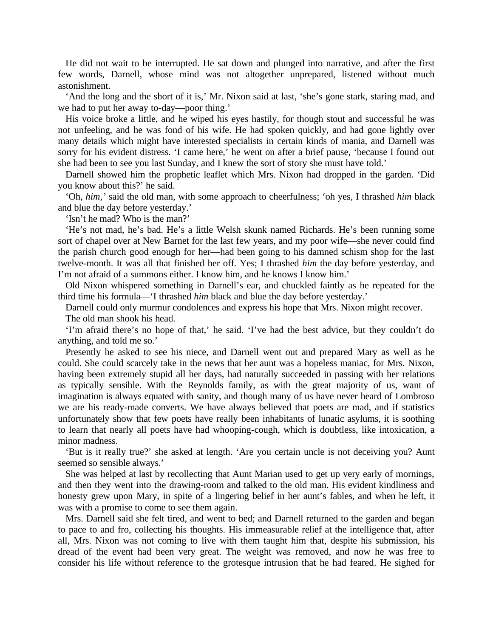He did not wait to be interrupted. He sat down and plunged into narrative, and after the first few words, Darnell, whose mind was not altogether unprepared, listened without much astonishment.

'And the long and the short of it is,' Mr. Nixon said at last, 'she's gone stark, staring mad, and we had to put her away to-day—poor thing.'

His voice broke a little, and he wiped his eyes hastily, for though stout and successful he was not unfeeling, and he was fond of his wife. He had spoken quickly, and had gone lightly over many details which might have interested specialists in certain kinds of mania, and Darnell was sorry for his evident distress. 'I came here,' he went on after a brief pause, 'because I found out she had been to see you last Sunday, and I knew the sort of story she must have told.'

Darnell showed him the prophetic leaflet which Mrs. Nixon had dropped in the garden. 'Did you know about this?' he said.

'Oh, *him,'* said the old man, with some approach to cheerfulness; 'oh yes, I thrashed *him* black and blue the day before yesterday.'

'Isn't he mad? Who is the man?'

'He's not mad, he's bad. He's a little Welsh skunk named Richards. He's been running some sort of chapel over at New Barnet for the last few years, and my poor wife—she never could find the parish church good enough for her—had been going to his damned schism shop for the last twelve-month. It was all that finished her off. Yes; I thrashed *him* the day before yesterday, and I'm not afraid of a summons either. I know him, and he knows I know him.'

Old Nixon whispered something in Darnell's ear, and chuckled faintly as he repeated for the third time his formula—'I thrashed *him* black and blue the day before yesterday.'

Darnell could only murmur condolences and express his hope that Mrs. Nixon might recover.

The old man shook his head.

'I'm afraid there's no hope of that,' he said. 'I've had the best advice, but they couldn't do anything, and told me so.'

Presently he asked to see his niece, and Darnell went out and prepared Mary as well as he could. She could scarcely take in the news that her aunt was a hopeless maniac, for Mrs. Nixon, having been extremely stupid all her days, had naturally succeeded in passing with her relations as typically sensible. With the Reynolds family, as with the great majority of us, want of imagination is always equated with sanity, and though many of us have never heard of Lombroso we are his ready-made converts. We have always believed that poets are mad, and if statistics unfortunately show that few poets have really been inhabitants of lunatic asylums, it is soothing to learn that nearly all poets have had whooping-cough, which is doubtless, like intoxication, a minor madness.

'But is it really true?' she asked at length. 'Are you certain uncle is not deceiving you? Aunt seemed so sensible always.'

She was helped at last by recollecting that Aunt Marian used to get up very early of mornings, and then they went into the drawing-room and talked to the old man. His evident kindliness and honesty grew upon Mary, in spite of a lingering belief in her aunt's fables, and when he left, it was with a promise to come to see them again.

Mrs. Darnell said she felt tired, and went to bed; and Darnell returned to the garden and began to pace to and fro, collecting his thoughts. His immeasurable relief at the intelligence that, after all, Mrs. Nixon was not coming to live with them taught him that, despite his submission, his dread of the event had been very great. The weight was removed, and now he was free to consider his life without reference to the grotesque intrusion that he had feared. He sighed for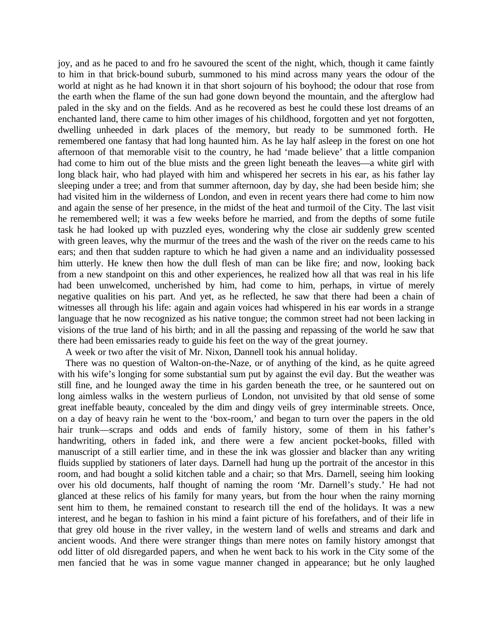joy, and as he paced to and fro he savoured the scent of the night, which, though it came faintly to him in that brick-bound suburb, summoned to his mind across many years the odour of the world at night as he had known it in that short sojourn of his boyhood; the odour that rose from the earth when the flame of the sun had gone down beyond the mountain, and the afterglow had paled in the sky and on the fields. And as he recovered as best he could these lost dreams of an enchanted land, there came to him other images of his childhood, forgotten and yet not forgotten, dwelling unheeded in dark places of the memory, but ready to be summoned forth. He remembered one fantasy that had long haunted him. As he lay half asleep in the forest on one hot afternoon of that memorable visit to the country, he had 'made believe' that a little companion had come to him out of the blue mists and the green light beneath the leaves—a white girl with long black hair, who had played with him and whispered her secrets in his ear, as his father lay sleeping under a tree; and from that summer afternoon, day by day, she had been beside him; she had visited him in the wilderness of London, and even in recent years there had come to him now and again the sense of her presence, in the midst of the heat and turmoil of the City. The last visit he remembered well; it was a few weeks before he married, and from the depths of some futile task he had looked up with puzzled eyes, wondering why the close air suddenly grew scented with green leaves, why the murmur of the trees and the wash of the river on the reeds came to his ears; and then that sudden rapture to which he had given a name and an individuality possessed him utterly. He knew then how the dull flesh of man can be like fire; and now, looking back from a new standpoint on this and other experiences, he realized how all that was real in his life had been unwelcomed, uncherished by him, had come to him, perhaps, in virtue of merely negative qualities on his part. And yet, as he reflected, he saw that there had been a chain of witnesses all through his life: again and again voices had whispered in his ear words in a strange language that he now recognized as his native tongue; the common street had not been lacking in visions of the true land of his birth; and in all the passing and repassing of the world he saw that there had been emissaries ready to guide his feet on the way of the great journey.

A week or two after the visit of Mr. Nixon, Dannell took his annual holiday.

There was no question of Walton-on-the-Naze, or of anything of the kind, as he quite agreed with his wife's longing for some substantial sum put by against the evil day. But the weather was still fine, and he lounged away the time in his garden beneath the tree, or he sauntered out on long aimless walks in the western purlieus of London, not unvisited by that old sense of some great ineffable beauty, concealed by the dim and dingy veils of grey interminable streets. Once, on a day of heavy rain he went to the 'box-room,' and began to turn over the papers in the old hair trunk—scraps and odds and ends of family history, some of them in his father's handwriting, others in faded ink, and there were a few ancient pocket-books, filled with manuscript of a still earlier time, and in these the ink was glossier and blacker than any writing fluids supplied by stationers of later days. Darnell had hung up the portrait of the ancestor in this room, and had bought a solid kitchen table and a chair; so that Mrs. Darnell, seeing him looking over his old documents, half thought of naming the room 'Mr. Darnell's study.' He had not glanced at these relics of his family for many years, but from the hour when the rainy morning sent him to them, he remained constant to research till the end of the holidays. It was a new interest, and he began to fashion in his mind a faint picture of his forefathers, and of their life in that grey old house in the river valley, in the western land of wells and streams and dark and ancient woods. And there were stranger things than mere notes on family history amongst that odd litter of old disregarded papers, and when he went back to his work in the City some of the men fancied that he was in some vague manner changed in appearance; but he only laughed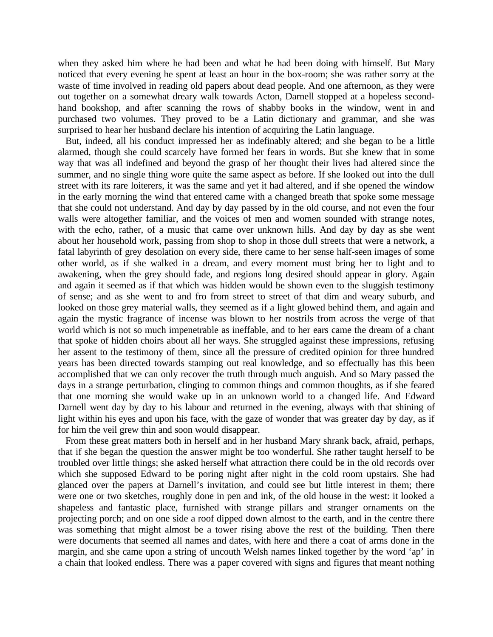when they asked him where he had been and what he had been doing with himself. But Mary noticed that every evening he spent at least an hour in the box-room; she was rather sorry at the waste of time involved in reading old papers about dead people. And one afternoon, as they were out together on a somewhat dreary walk towards Acton, Darnell stopped at a hopeless secondhand bookshop, and after scanning the rows of shabby books in the window, went in and purchased two volumes. They proved to be a Latin dictionary and grammar, and she was surprised to hear her husband declare his intention of acquiring the Latin language.

But, indeed, all his conduct impressed her as indefinably altered; and she began to be a little alarmed, though she could scarcely have formed her fears in words. But she knew that in some way that was all indefined and beyond the grasp of her thought their lives had altered since the summer, and no single thing wore quite the same aspect as before. If she looked out into the dull street with its rare loiterers, it was the same and yet it had altered, and if she opened the window in the early morning the wind that entered came with a changed breath that spoke some message that she could not understand. And day by day passed by in the old course, and not even the four walls were altogether familiar, and the voices of men and women sounded with strange notes, with the echo, rather, of a music that came over unknown hills. And day by day as she went about her household work, passing from shop to shop in those dull streets that were a network, a fatal labyrinth of grey desolation on every side, there came to her sense half-seen images of some other world, as if she walked in a dream, and every moment must bring her to light and to awakening, when the grey should fade, and regions long desired should appear in glory. Again and again it seemed as if that which was hidden would be shown even to the sluggish testimony of sense; and as she went to and fro from street to street of that dim and weary suburb, and looked on those grey material walls, they seemed as if a light glowed behind them, and again and again the mystic fragrance of incense was blown to her nostrils from across the verge of that world which is not so much impenetrable as ineffable, and to her ears came the dream of a chant that spoke of hidden choirs about all her ways. She struggled against these impressions, refusing her assent to the testimony of them, since all the pressure of credited opinion for three hundred years has been directed towards stamping out real knowledge, and so effectually has this been accomplished that we can only recover the truth through much anguish. And so Mary passed the days in a strange perturbation, clinging to common things and common thoughts, as if she feared that one morning she would wake up in an unknown world to a changed life. And Edward Darnell went day by day to his labour and returned in the evening, always with that shining of light within his eyes and upon his face, with the gaze of wonder that was greater day by day, as if for him the veil grew thin and soon would disappear.

From these great matters both in herself and in her husband Mary shrank back, afraid, perhaps, that if she began the question the answer might be too wonderful. She rather taught herself to be troubled over little things; she asked herself what attraction there could be in the old records over which she supposed Edward to be poring night after night in the cold room upstairs. She had glanced over the papers at Darnell's invitation, and could see but little interest in them; there were one or two sketches, roughly done in pen and ink, of the old house in the west: it looked a shapeless and fantastic place, furnished with strange pillars and stranger ornaments on the projecting porch; and on one side a roof dipped down almost to the earth, and in the centre there was something that might almost be a tower rising above the rest of the building. Then there were documents that seemed all names and dates, with here and there a coat of arms done in the margin, and she came upon a string of uncouth Welsh names linked together by the word 'ap' in a chain that looked endless. There was a paper covered with signs and figures that meant nothing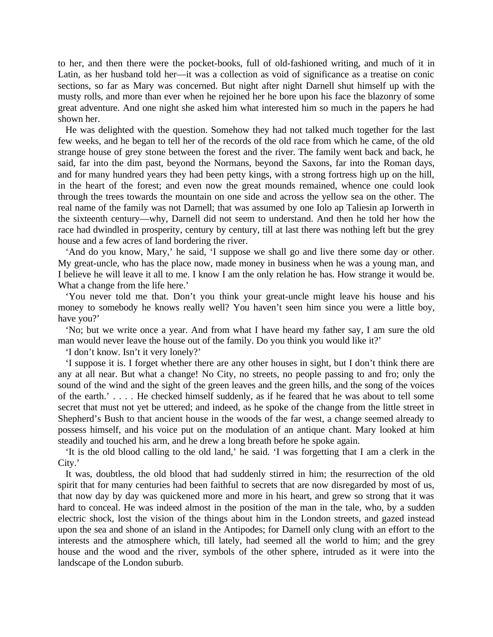to her, and then there were the pocket-books, full of old-fashioned writing, and much of it in Latin, as her husband told her—it was a collection as void of significance as a treatise on conic sections, so far as Mary was concerned. But night after night Darnell shut himself up with the musty rolls, and more than ever when he rejoined her he bore upon his face the blazonry of some great adventure. And one night she asked him what interested him so much in the papers he had shown her.

He was delighted with the question. Somehow they had not talked much together for the last few weeks, and he began to tell her of the records of the old race from which he came, of the old strange house of grey stone between the forest and the river. The family went back and back, he said, far into the dim past, beyond the Normans, beyond the Saxons, far into the Roman days, and for many hundred years they had been petty kings, with a strong fortress high up on the hill, in the heart of the forest; and even now the great mounds remained, whence one could look through the trees towards the mountain on one side and across the yellow sea on the other. The real name of the family was not Darnell; that was assumed by one Iolo ap Taliesin ap Iorwerth in the sixteenth century—why, Darnell did not seem to understand. And then he told her how the race had dwindled in prosperity, century by century, till at last there was nothing left but the grey house and a few acres of land bordering the river.

'And do you know, Mary,' he said, 'I suppose we shall go and live there some day or other. My great-uncle, who has the place now, made money in business when he was a young man, and I believe he will leave it all to me. I know I am the only relation he has. How strange it would be. What a change from the life here.'

'You never told me that. Don't you think your great-uncle might leave his house and his money to somebody he knows really well? You haven't seen him since you were a little boy, have you?'

'No; but we write once a year. And from what I have heard my father say, I am sure the old man would never leave the house out of the family. Do you think you would like it?'

'I don't know. Isn't it very lonely?'

'I suppose it is. I forget whether there are any other houses in sight, but I don't think there are any at all near. But what a change! No City, no streets, no people passing to and fro; only the sound of the wind and the sight of the green leaves and the green hills, and the song of the voices of the earth.' . . . . He checked himself suddenly, as if he feared that he was about to tell some secret that must not yet be uttered; and indeed, as he spoke of the change from the little street in Shepherd's Bush to that ancient house in the woods of the far west, a change seemed already to possess himself, and his voice put on the modulation of an antique chant. Mary looked at him steadily and touched his arm, and he drew a long breath before he spoke again.

'It is the old blood calling to the old land,' he said. 'I was forgetting that I am a clerk in the City.'

It was, doubtless, the old blood that had suddenly stirred in him; the resurrection of the old spirit that for many centuries had been faithful to secrets that are now disregarded by most of us, that now day by day was quickened more and more in his heart, and grew so strong that it was hard to conceal. He was indeed almost in the position of the man in the tale, who, by a sudden electric shock, lost the vision of the things about him in the London streets, and gazed instead upon the sea and shone of an island in the Antipodes; for Darnell only clung with an effort to the interests and the atmosphere which, till lately, had seemed all the world to him; and the grey house and the wood and the river, symbols of the other sphere, intruded as it were into the landscape of the London suburb.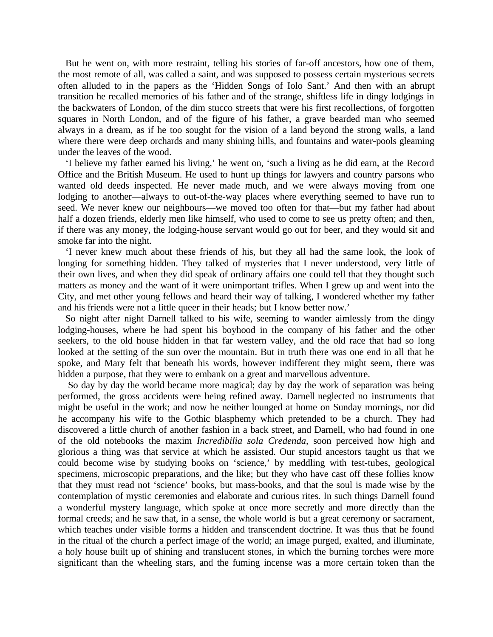But he went on, with more restraint, telling his stories of far-off ancestors, how one of them, the most remote of all, was called a saint, and was supposed to possess certain mysterious secrets often alluded to in the papers as the 'Hidden Songs of Iolo Sant.' And then with an abrupt transition he recalled memories of his father and of the strange, shiftless life in dingy lodgings in the backwaters of London, of the dim stucco streets that were his first recollections, of forgotten squares in North London, and of the figure of his father, a grave bearded man who seemed always in a dream, as if he too sought for the vision of a land beyond the strong walls, a land where there were deep orchards and many shining hills, and fountains and water-pools gleaming under the leaves of the wood.

'I believe my father earned his living,' he went on, 'such a living as he did earn, at the Record Office and the British Museum. He used to hunt up things for lawyers and country parsons who wanted old deeds inspected. He never made much, and we were always moving from one lodging to another—always to out-of-the-way places where everything seemed to have run to seed. We never knew our neighbours—we moved too often for that—but my father had about half a dozen friends, elderly men like himself, who used to come to see us pretty often; and then, if there was any money, the lodging-house servant would go out for beer, and they would sit and smoke far into the night.

'I never knew much about these friends of his, but they all had the same look, the look of longing for something hidden. They talked of mysteries that I never understood, very little of their own lives, and when they did speak of ordinary affairs one could tell that they thought such matters as money and the want of it were unimportant trifles. When I grew up and went into the City, and met other young fellows and heard their way of talking, I wondered whether my father and his friends were not a little queer in their heads; but I know better now.'

So night after night Darnell talked to his wife, seeming to wander aimlessly from the dingy lodging-houses, where he had spent his boyhood in the company of his father and the other seekers, to the old house hidden in that far western valley, and the old race that had so long looked at the setting of the sun over the mountain. But in truth there was one end in all that he spoke, and Mary felt that beneath his words, however indifferent they might seem, there was hidden a purpose, that they were to embank on a great and marvellous adventure.

So day by day the world became more magical; day by day the work of separation was being performed, the gross accidents were being refined away. Darnell neglected no instruments that might be useful in the work; and now he neither lounged at home on Sunday mornings, nor did he accompany his wife to the Gothic blasphemy which pretended to be a church. They had discovered a little church of another fashion in a back street, and Darnell, who had found in one of the old notebooks the maxim *Incredibilia sola Credenda,* soon perceived how high and glorious a thing was that service at which he assisted. Our stupid ancestors taught us that we could become wise by studying books on 'science,' by meddling with test-tubes, geological specimens, microscopic preparations, and the like; but they who have cast off these follies know that they must read not 'science' books, but mass-books, and that the soul is made wise by the contemplation of mystic ceremonies and elaborate and curious rites. In such things Darnell found a wonderful mystery language, which spoke at once more secretly and more directly than the formal creeds; and he saw that, in a sense, the whole world is but a great ceremony or sacrament, which teaches under visible forms a hidden and transcendent doctrine. It was thus that he found in the ritual of the church a perfect image of the world; an image purged, exalted, and illuminate, a holy house built up of shining and translucent stones, in which the burning torches were more significant than the wheeling stars, and the fuming incense was a more certain token than the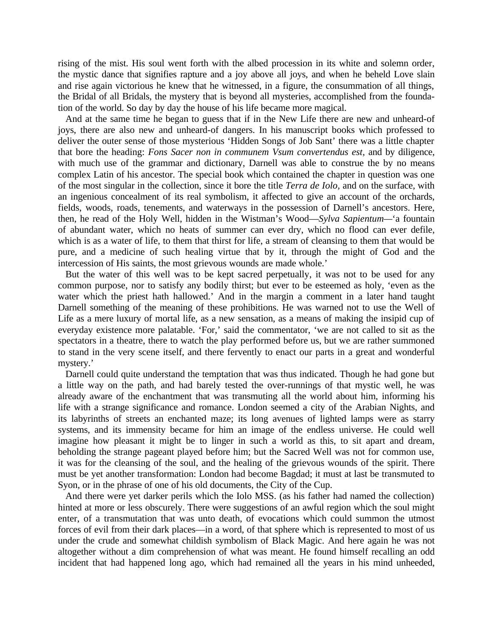rising of the mist. His soul went forth with the albed procession in its white and solemn order, the mystic dance that signifies rapture and a joy above all joys, and when he beheld Love slain and rise again victorious he knew that he witnessed, in a figure, the consummation of all things, the Bridal of all Bridals, the mystery that is beyond all mysteries, accomplished from the foundation of the world. So day by day the house of his life became more magical.

And at the same time he began to guess that if in the New Life there are new and unheard-of joys, there are also new and unheard-of dangers. In his manuscript books which professed to deliver the outer sense of those mysterious 'Hidden Songs of Job Sant' there was a little chapter that bore the heading: *Fons Sacer non in communem Vsum convertendus est,* and by diligence, with much use of the grammar and dictionary, Darnell was able to construe the by no means complex Latin of his ancestor. The special book which contained the chapter in question was one of the most singular in the collection, since it bore the title *Terra de Iolo,* and on the surface, with an ingenious concealment of its real symbolism, it affected to give an account of the orchards, fields, woods, roads, tenements, and waterways in the possession of Darnell's ancestors. Here, then, he read of the Holy Well, hidden in the Wistman's Wood—*Sylva Sapientum—*'a fountain of abundant water, which no heats of summer can ever dry, which no flood can ever defile, which is as a water of life, to them that thirst for life, a stream of cleansing to them that would be pure, and a medicine of such healing virtue that by it, through the might of God and the intercession of His saints, the most grievous wounds are made whole.'

But the water of this well was to be kept sacred perpetually, it was not to be used for any common purpose, nor to satisfy any bodily thirst; but ever to be esteemed as holy, 'even as the water which the priest hath hallowed.' And in the margin a comment in a later hand taught Darnell something of the meaning of these prohibitions. He was warned not to use the Well of Life as a mere luxury of mortal life, as a new sensation, as a means of making the insipid cup of everyday existence more palatable. 'For,' said the commentator, 'we are not called to sit as the spectators in a theatre, there to watch the play performed before us, but we are rather summoned to stand in the very scene itself, and there fervently to enact our parts in a great and wonderful mystery.'

Darnell could quite understand the temptation that was thus indicated. Though he had gone but a little way on the path, and had barely tested the over-runnings of that mystic well, he was already aware of the enchantment that was transmuting all the world about him, informing his life with a strange significance and romance. London seemed a city of the Arabian Nights, and its labyrinths of streets an enchanted maze; its long avenues of lighted lamps were as starry systems, and its immensity became for him an image of the endless universe. He could well imagine how pleasant it might be to linger in such a world as this, to sit apart and dream, beholding the strange pageant played before him; but the Sacred Well was not for common use, it was for the cleansing of the soul, and the healing of the grievous wounds of the spirit. There must be yet another transformation: London had become Bagdad; it must at last be transmuted to Syon, or in the phrase of one of his old documents, the City of the Cup.

And there were yet darker perils which the Iolo MSS. (as his father had named the collection) hinted at more or less obscurely. There were suggestions of an awful region which the soul might enter, of a transmutation that was unto death, of evocations which could summon the utmost forces of evil from their dark places—in a word, of that sphere which is represented to most of us under the crude and somewhat childish symbolism of Black Magic. And here again he was not altogether without a dim comprehension of what was meant. He found himself recalling an odd incident that had happened long ago, which had remained all the years in his mind unheeded,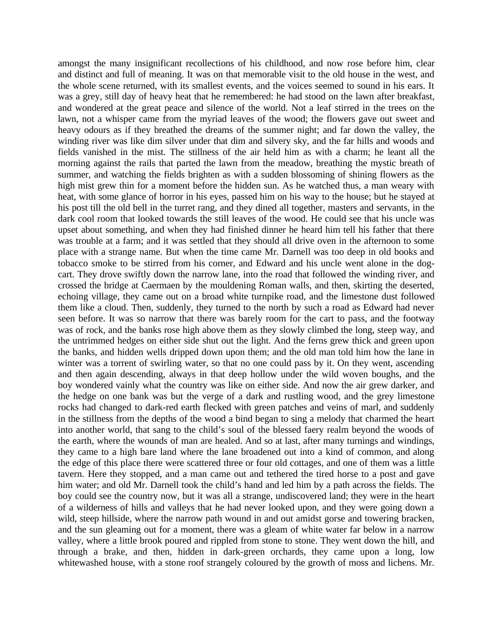amongst the many insignificant recollections of his childhood, and now rose before him, clear and distinct and full of meaning. It was on that memorable visit to the old house in the west, and the whole scene returned, with its smallest events, and the voices seemed to sound in his ears. It was a grey, still day of heavy heat that he remembered: he had stood on the lawn after breakfast, and wondered at the great peace and silence of the world. Not a leaf stirred in the trees on the lawn, not a whisper came from the myriad leaves of the wood; the flowers gave out sweet and heavy odours as if they breathed the dreams of the summer night; and far down the valley, the winding river was like dim silver under that dim and silvery sky, and the far hills and woods and fields vanished in the mist. The stillness of the air held him as with a charm; he leant all the morning against the rails that parted the lawn from the meadow, breathing the mystic breath of summer, and watching the fields brighten as with a sudden blossoming of shining flowers as the high mist grew thin for a moment before the hidden sun. As he watched thus, a man weary with heat, with some glance of horror in his eyes, passed him on his way to the house; but he stayed at his post till the old bell in the turret rang, and they dined all together, masters and servants, in the dark cool room that looked towards the still leaves of the wood. He could see that his uncle was upset about something, and when they had finished dinner he heard him tell his father that there was trouble at a farm; and it was settled that they should all drive oven in the afternoon to some place with a strange name. But when the time came Mr. Darnell was too deep in old books and tobacco smoke to be stirred from his corner, and Edward and his uncle went alone in the dogcart. They drove swiftly down the narrow lane, into the road that followed the winding river, and crossed the bridge at Caermaen by the mouldening Roman walls, and then, skirting the deserted, echoing village, they came out on a broad white turnpike road, and the limestone dust followed them like a cloud. Then, suddenly, they turned to the north by such a road as Edward had never seen before. It was so narrow that there was barely room for the cart to pass, and the footway was of rock, and the banks rose high above them as they slowly climbed the long, steep way, and the untrimmed hedges on either side shut out the light. And the ferns grew thick and green upon the banks, and hidden wells dripped down upon them; and the old man told him how the lane in winter was a torrent of swirling water, so that no one could pass by it. On they went, ascending and then again descending, always in that deep hollow under the wild woven boughs, and the boy wondered vainly what the country was like on either side. And now the air grew darker, and the hedge on one bank was but the verge of a dark and rustling wood, and the grey limestone rocks had changed to dark-red earth flecked with green patches and veins of marl, and suddenly in the stillness from the depths of the wood a bind began to sing a melody that charmed the heart into another world, that sang to the child's soul of the blessed faery realm beyond the woods of the earth, where the wounds of man are healed. And so at last, after many turnings and windings, they came to a high bare land where the lane broadened out into a kind of common, and along the edge of this place there were scattered three or four old cottages, and one of them was a little tavern. Here they stopped, and a man came out and tethered the tired horse to a post and gave him water; and old Mr. Darnell took the child's hand and led him by a path across the fields. The boy could see the country now, but it was all a strange, undiscovered land; they were in the heart of a wilderness of hills and valleys that he had never looked upon, and they were going down a wild, steep hillside, where the narrow path wound in and out amidst gorse and towering bracken, and the sun gleaming out for a moment, there was a gleam of white water far below in a narrow valley, where a little brook poured and rippled from stone to stone. They went down the hill, and through a brake, and then, hidden in dark-green orchards, they came upon a long, low whitewashed house, with a stone roof strangely coloured by the growth of moss and lichens. Mr.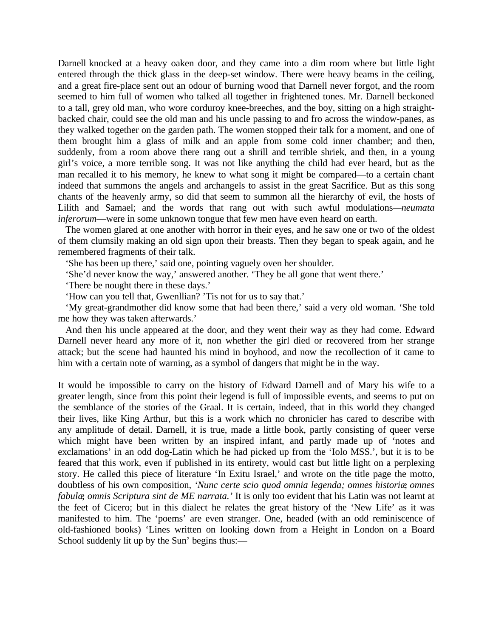Darnell knocked at a heavy oaken door, and they came into a dim room where but little light entered through the thick glass in the deep-set window. There were heavy beams in the ceiling, and a great fire-place sent out an odour of burning wood that Darnell never forgot, and the room seemed to him full of women who talked all together in frightened tones. Mr. Darnell beckoned to a tall, grey old man, who wore corduroy knee-breeches, and the boy, sitting on a high straightbacked chair, could see the old man and his uncle passing to and fro across the window-panes, as they walked together on the garden path. The women stopped their talk for a moment, and one of them brought him a glass of milk and an apple from some cold inner chamber; and then, suddenly, from a room above there rang out a shrill and terrible shriek, and then, in a young girl's voice, a more terrible song. It was not like anything the child had ever heard, but as the man recalled it to his memory, he knew to what song it might be compared—to a certain chant indeed that summons the angels and archangels to assist in the great Sacrifice. But as this song chants of the heavenly army, so did that seem to summon all the hierarchy of evil, the hosts of Lilith and Samael; and the words that rang out with such awful modulations*—neumata inferorum*—were in some unknown tongue that few men have even heard on earth.

The women glared at one another with horror in their eyes, and he saw one or two of the oldest of them clumsily making an old sign upon their breasts. Then they began to speak again, and he remembered fragments of their talk.

'She has been up there,' said one, pointing vaguely oven her shoulder.

'She'd never know the way,' answered another. 'They be all gone that went there.'

'There be nought there in these days.'

'How can you tell that, Gwenllian? 'Tis not for us to say that.'

'My great-grandmother did know some that had been there,' said a very old woman. 'She told me how they was taken afterwards.'

And then his uncle appeared at the door, and they went their way as they had come. Edward Darnell never heard any more of it, non whether the girl died or recovered from her strange attack; but the scene had haunted his mind in boyhood, and now the recollection of it came to him with a certain note of warning, as a symbol of dangers that might be in the way.

It would be impossible to carry on the history of Edward Darnell and of Mary his wife to a greater length, since from this point their legend is full of impossible events, and seems to put on the semblance of the stories of the Graal. It is certain, indeed, that in this world they changed their lives, like King Arthur, but this is a work which no chronicler has cared to describe with any amplitude of detail. Darnell, it is true, made a little book, partly consisting of queer verse which might have been written by an inspired infant, and partly made up of 'notes and exclamations' in an odd dog-Latin which he had picked up from the 'Iolo MSS.', but it is to be feared that this work, even if published in its entirety, would cast but little light on a perplexing story. He called this piece of literature 'In Exitu Israel,' and wrote on the title page the motto, doubtless of his own composition, *'Nunc certe scio quod omnia legenda; omnes historiæ, omnes fabulæ, omnis Scriptura sint de ME narrata.'* It is only too evident that his Latin was not learnt at the feet of Cicero; but in this dialect he relates the great history of the 'New Life' as it was manifested to him. The 'poems' are even stranger. One, headed (with an odd reminiscence of old-fashioned books) 'Lines written on looking down from a Height in London on a Board School suddenly lit up by the Sun' begins thus:—